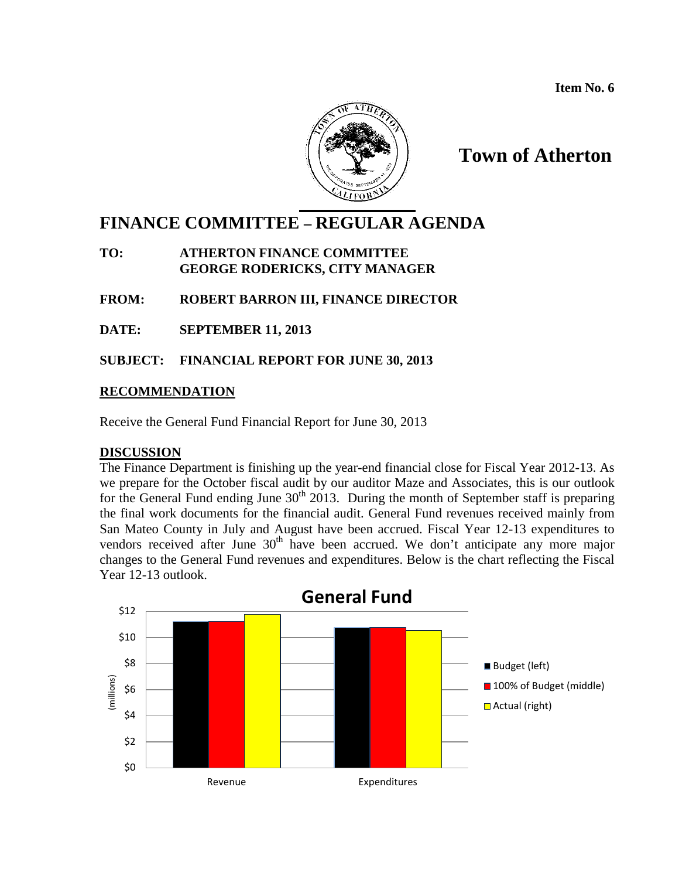

## **Town of Atherton**

# **FINANCE COMMITTEE – REGULAR AGENDA**

#### **TO: ATHERTON FINANCE COMMITTEE GEORGE RODERICKS, CITY MANAGER**

**FROM: ROBERT BARRON III, FINANCE DIRECTOR**

**DATE: SEPTEMBER 11, 2013**

**SUBJECT: FINANCIAL REPORT FOR JUNE 30, 2013**

### **RECOMMENDATION**

Receive the General Fund Financial Report for June 30, 2013

### **DISCUSSION**

The Finance Department is finishing up the year-end financial close for Fiscal Year 2012-13. As we prepare for the October fiscal audit by our auditor Maze and Associates, this is our outlook for the General Fund ending June  $30<sup>th</sup>$  2013. During the month of September staff is preparing the final work documents for the financial audit. General Fund revenues received mainly from San Mateo County in July and August have been accrued. Fiscal Year 12-13 expenditures to vendors received after June 30<sup>th</sup> have been accrued. We don't anticipate any more major changes to the General Fund revenues and expenditures. Below is the chart reflecting the Fiscal Year 12-13 outlook.

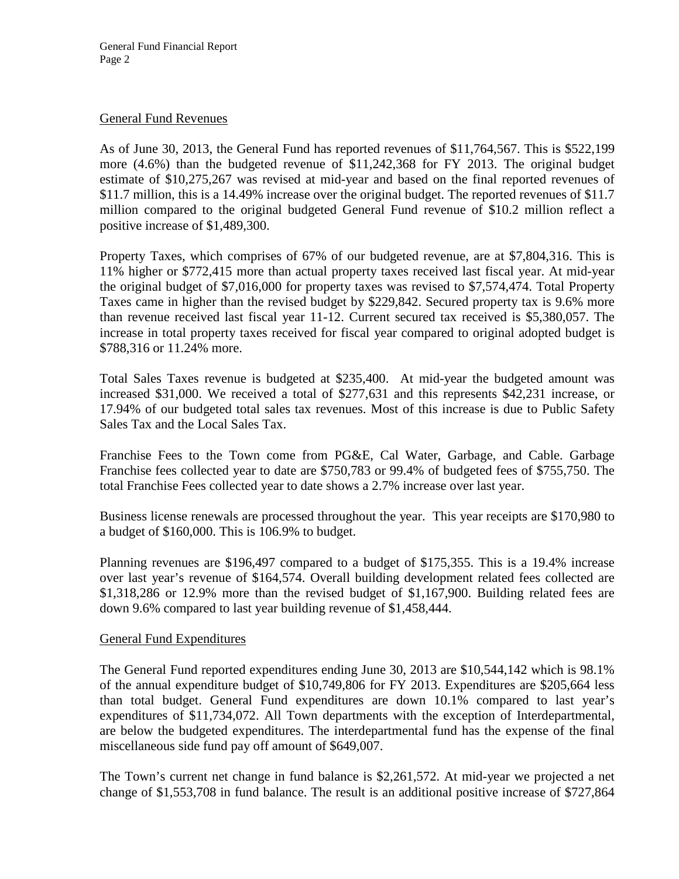#### General Fund Revenues

As of June 30, 2013, the General Fund has reported revenues of \$11,764,567. This is \$522,199 more (4.6%) than the budgeted revenue of \$11,242,368 for FY 2013. The original budget estimate of \$10,275,267 was revised at mid-year and based on the final reported revenues of \$11.7 million, this is a 14.49% increase over the original budget. The reported revenues of \$11.7 million compared to the original budgeted General Fund revenue of \$10.2 million reflect a positive increase of \$1,489,300.

Property Taxes, which comprises of 67% of our budgeted revenue, are at \$7,804,316. This is 11% higher or \$772,415 more than actual property taxes received last fiscal year. At mid-year the original budget of \$7,016,000 for property taxes was revised to \$7,574,474. Total Property Taxes came in higher than the revised budget by \$229,842. Secured property tax is 9.6% more than revenue received last fiscal year 11-12. Current secured tax received is \$5,380,057. The increase in total property taxes received for fiscal year compared to original adopted budget is \$788,316 or 11.24% more.

Total Sales Taxes revenue is budgeted at \$235,400. At mid-year the budgeted amount was increased \$31,000. We received a total of \$277,631 and this represents \$42,231 increase, or 17.94% of our budgeted total sales tax revenues. Most of this increase is due to Public Safety Sales Tax and the Local Sales Tax.

Franchise Fees to the Town come from PG&E, Cal Water, Garbage, and Cable. Garbage Franchise fees collected year to date are \$750,783 or 99.4% of budgeted fees of \$755,750. The total Franchise Fees collected year to date shows a 2.7% increase over last year.

Business license renewals are processed throughout the year. This year receipts are \$170,980 to a budget of \$160,000. This is 106.9% to budget.

Planning revenues are \$196,497 compared to a budget of \$175,355. This is a 19.4% increase over last year's revenue of \$164,574. Overall building development related fees collected are \$1,318,286 or 12.9% more than the revised budget of \$1,167,900. Building related fees are down 9.6% compared to last year building revenue of \$1,458,444.

#### General Fund Expenditures

The General Fund reported expenditures ending June 30, 2013 are \$10,544,142 which is 98.1% of the annual expenditure budget of \$10,749,806 for FY 2013. Expenditures are \$205,664 less than total budget. General Fund expenditures are down 10.1% compared to last year's expenditures of \$11,734,072. All Town departments with the exception of Interdepartmental, are below the budgeted expenditures. The interdepartmental fund has the expense of the final miscellaneous side fund pay off amount of \$649,007.

The Town's current net change in fund balance is \$2,261,572. At mid-year we projected a net change of \$1,553,708 in fund balance. The result is an additional positive increase of \$727,864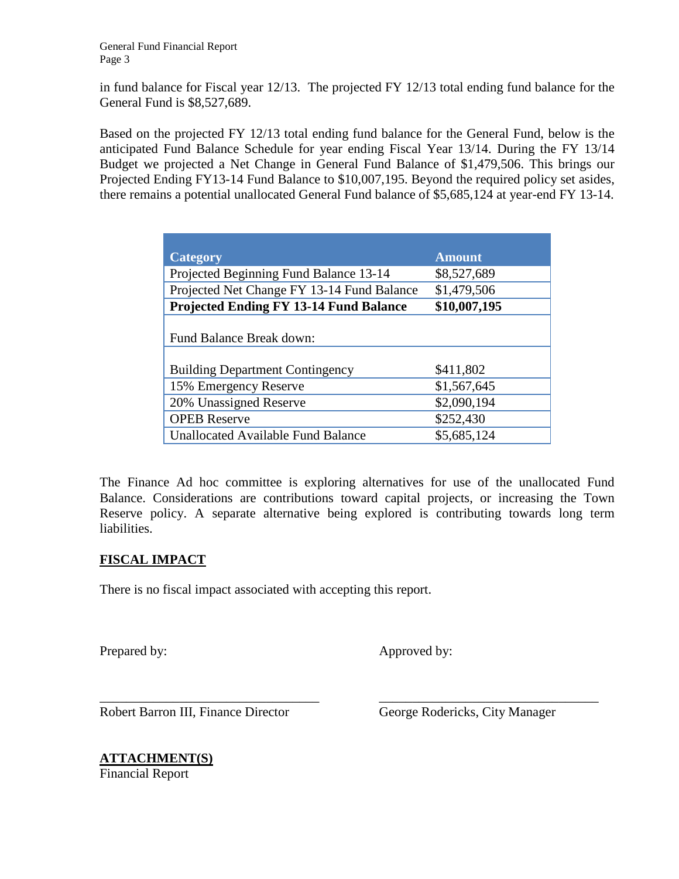in fund balance for Fiscal year 12/13. The projected FY 12/13 total ending fund balance for the General Fund is \$8,527,689.

Based on the projected FY 12/13 total ending fund balance for the General Fund, below is the anticipated Fund Balance Schedule for year ending Fiscal Year 13/14. During the FY 13/14 Budget we projected a Net Change in General Fund Balance of \$1,479,506. This brings our Projected Ending FY13-14 Fund Balance to \$10,007,195. Beyond the required policy set asides, there remains a potential unallocated General Fund balance of \$5,685,124 at year-end FY 13-14.

| <b>Category</b>                               | <b>Amount</b> |  |  |  |  |  |
|-----------------------------------------------|---------------|--|--|--|--|--|
| Projected Beginning Fund Balance 13-14        | \$8,527,689   |  |  |  |  |  |
| Projected Net Change FY 13-14 Fund Balance    | \$1,479,506   |  |  |  |  |  |
| <b>Projected Ending FY 13-14 Fund Balance</b> | \$10,007,195  |  |  |  |  |  |
|                                               |               |  |  |  |  |  |
| Fund Balance Break down:                      |               |  |  |  |  |  |
|                                               |               |  |  |  |  |  |
| <b>Building Department Contingency</b>        | \$411,802     |  |  |  |  |  |
| 15% Emergency Reserve                         | \$1,567,645   |  |  |  |  |  |
| 20% Unassigned Reserve                        | \$2,090,194   |  |  |  |  |  |
| <b>OPEB</b> Reserve                           | \$252,430     |  |  |  |  |  |
| <b>Unallocated Available Fund Balance</b>     | \$5,685,124   |  |  |  |  |  |

The Finance Ad hoc committee is exploring alternatives for use of the unallocated Fund Balance. Considerations are contributions toward capital projects, or increasing the Town Reserve policy. A separate alternative being explored is contributing towards long term liabilities.

\_\_\_\_\_\_\_\_\_\_\_\_\_\_\_\_\_\_\_\_\_\_\_\_\_\_\_\_\_\_\_\_\_ \_\_\_\_\_\_\_\_\_\_\_\_\_\_\_\_\_\_\_\_\_\_\_\_\_\_\_\_\_\_\_\_\_

## **FISCAL IMPACT**

There is no fiscal impact associated with accepting this report.

Prepared by: Approved by:

Robert Barron III, Finance Director George Rodericks, City Manager

**ATTACHMENT(S)** Financial Report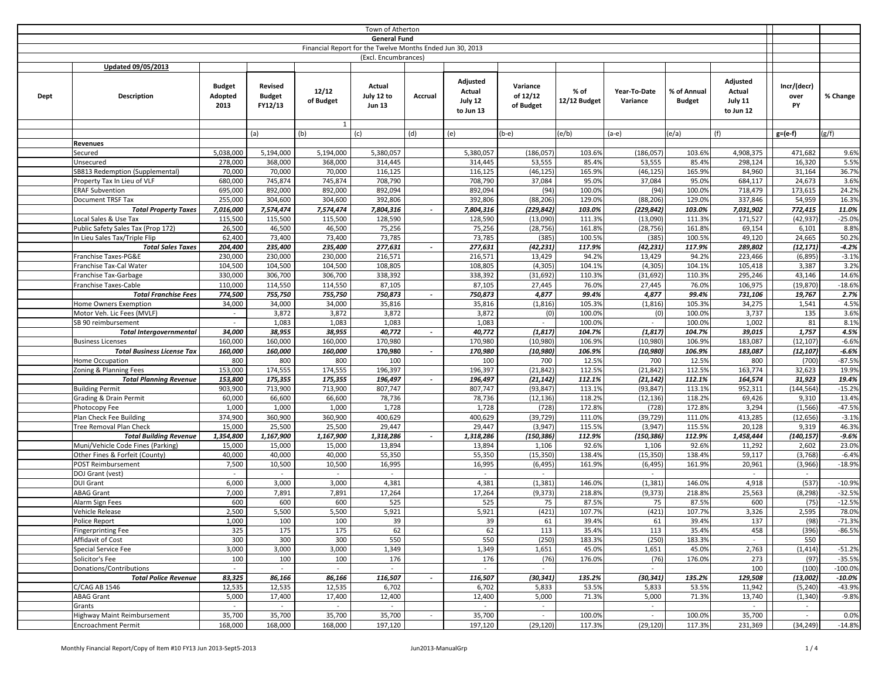| <b>General Fund</b><br>Financial Report for the Twelve Months Ended Jun 30, 2013<br>(Excl. Encumbrances)<br>Updated 09/05/2013<br>Adjusted<br>Adjusted<br><b>Budget</b><br>Revised<br>Actual<br>Incr/(decr)<br>Variance<br>12/12<br>Actual<br>Actual<br>% of<br>Year-To-Date<br>% of Annual<br>July 12 to<br>of 12/12<br>Adopted<br><b>Budget</b><br>Accrual<br>% Change<br>Dept<br><b>Description</b><br>over<br>July 11<br>of Budget<br>July 12<br>12/12 Budget<br>Variance<br><b>Budget</b><br>2013<br>FY12/13<br><b>Jun 13</b><br>of Budget<br>PY<br>to Jun 13<br>to Jun 12<br>$\mathbf{1}$<br>(g/f)<br>(e)<br>(e/b)<br>(e/a)<br>(a)<br>(b)<br>(c)<br>(d)<br>$(b-e)$<br>$(a-e)$<br>(f)<br>$g=(e-f)$<br>Revenues<br>5,038,000<br>5,194,000<br>5,194,000<br>5,380,057<br>5,380,057<br>(186, 057)<br>103.6%<br>(186, 057)<br>103.6%<br>4,908,375<br>471,682<br>9.6%<br>Secured<br>53,555<br>278,000<br>368,000<br>368,000<br>314,445<br>314,445<br>53,555<br>85.4%<br>85.4%<br>298,124<br>16,320<br>5.5%<br>Unsecured<br>36.7%<br>SB813 Redemption (Supplemental)<br>70,000<br>70,000<br>70,000<br>116,125<br>116,125<br>(46, 125)<br>165.9%<br>(46, 125)<br>165.9%<br>84,960<br>31,164<br>3.6%<br>Property Tax In Lieu of VLF<br>680,000<br>745,874<br>745,874<br>708,790<br>708,790<br>37,084<br>95.0%<br>37,084<br>95.0%<br>684,117<br>24,673<br><b>ERAF Subvention</b><br>695,000<br>892,000<br>892,000<br>892,094<br>892,094<br>(94)<br>100.0%<br>(94)<br>100.0%<br>718,479<br>173,615<br>24.2%<br>16.3%<br>Document TRSF Tax<br>255,000<br>304,600<br>304,600<br>392,806<br>392,806<br>(88, 206)<br>129.0%<br>(88, 206)<br>129.0%<br>337,846<br>54,959<br><b>Total Property Taxes</b><br>7,016,000<br>7,574,474<br>7,574,474<br>7,804,316<br>7,804,316<br>(229, 842)<br>103.0%<br>(229, 842)<br>103.0%<br>7,031,902<br>772,415<br>11.0%<br>$\sim$<br>$-25.0%$<br>Local Sales & Use Tax<br>115,500<br>115,500<br>115,500<br>128,590<br>128,590<br>111.3%<br>111.3%<br>171,527<br>(42, 937)<br>(13,090)<br>(13,090)<br>Public Safety Sales Tax (Prop 172)<br>26,500<br>46,500<br>46,500<br>75,256<br>75,256<br>(28, 756)<br>161.8%<br>(28, 756)<br>161.8%<br>69,154<br>6,101<br>8.8%<br>73,785<br>24,665<br>50.2%<br>In Lieu Sales Tax/Triple Flip<br>62,400<br>73,400<br>73,400<br>73,785<br>(385)<br>100.5%<br>(385)<br>100.5%<br>49,120<br>(12, 171)<br>204,400<br>235,400<br>235,400<br>277,631<br>277,631<br>(42, 231)<br>117.9%<br>117.9%<br>289,802<br>$-4.2%$<br><b>Total Sales Taxes</b><br>(42, 231)<br>$\sim$<br>$-3.1%$<br>Franchise Taxes-PG&E<br>230,000<br>230,000<br>230,000<br>216,571<br>216,571<br>13,429<br>94.2%<br>13,429<br>94.2%<br>223,466<br>(6, 895)<br>3.2%<br>Franchise Tax-Cal Water<br>104,500<br>104,500<br>104,500<br>108,805<br>108,805<br>(4, 305)<br>104.1%<br>(4, 305)<br>104.1%<br>105,418<br>3,387<br>338,392<br>338,392<br>14.6%<br>330,000<br>306,700<br>306,700<br>(31, 692)<br>110.3%<br>(31, 692)<br>110.3%<br>295,246<br>43,146<br>Franchise Tax-Garbage<br>$-18.6%$<br>110,000<br>114,550<br>114,550<br>87,105<br>87,105<br>27,445<br>76.0%<br>27,445<br>76.0%<br>106,975<br>(19, 870)<br>Franchise Taxes-Cable<br><b>Total Franchise Fees</b><br>774,500<br>755,750<br>755,750<br>750,873<br>750,873<br>4,877<br>99.4%<br>4,877<br>99.4%<br>731,106<br>19,767<br>2.7%<br>$\overline{\phantom{a}}$<br>4.5%<br>35,816<br>34,275<br>34,000<br>34,000<br>34,000<br>35,816<br>(1, 816)<br>105.3%<br>(1, 816)<br>105.3%<br>1,541<br>Home Owners Exemption<br>3,872<br>135<br>3.6%<br>3,872<br>3,872<br>3,872<br>(0)<br>100.0%<br>(0)<br>100.0%<br>3,737<br>Motor Veh. Lic Fees (MVLF)<br>$\sim$<br>1,083<br>1,083<br>1,083<br>1,083<br>100.0%<br>100.0%<br>1,002<br>81<br>8.1%<br>SB 90 reimbursement<br>$\sim$<br>$\sim$<br>$\sim$<br>38,955<br>40,772<br>40,772<br>39,015<br>1,757<br>4.5%<br><b>Total Intergovernmental</b><br>34,000<br>38,955<br>(1, 817)<br>104.7%<br>(1, 817)<br>104.7%<br>$\blacksquare$<br>$-6.6%$<br>160,000<br>160,000<br>160,000<br>170,980<br>170,980<br>(10,980)<br>106.9%<br>(10,980)<br>106.9%<br>183,087<br>(12, 107)<br><b>Business Licenses</b><br>$-6.6%$<br><b>Total Business License Tax</b><br>160,000<br>160,000<br>160,000<br>170,980<br>170,980<br>(10, 980)<br>106.9%<br>(10, 980)<br>106.9%<br>183,087<br>(12, 107)<br>$\blacksquare$<br>800<br>12.5%<br>$-87.5%$<br>800<br>800<br>100<br>100<br>700<br>12.5%<br>800<br>(700)<br>Home Occupation<br>700<br>174,555<br>153,000<br>174,555<br>196,397<br>196,397<br>112.5%<br>(21, 842)<br>112.5%<br>163,774<br>32,623<br>19.9%<br>Zoning & Planning Fees<br>(21, 842)<br>19.4%<br><b>Total Planning Revenue</b><br>153,800<br>175,355<br>175,355<br>196,497<br>196,497<br>(21, 142)<br>112.1%<br>(21, 142)<br>112.1%<br>164,574<br>31,923<br>$\sim$<br>$-15.2%$<br><b>Building Permit</b><br>903,900<br>713,900<br>713,900<br>807,747<br>807,747<br>(93, 847)<br>113.1%<br>(93, 847)<br>952,311<br>(144, 564)<br>113.1%<br>Grading & Drain Permit<br>60,000<br>66,600<br>66,600<br>78,736<br>78,736<br>118.2%<br>(12, 136)<br>118.2%<br>69,426<br>9,310<br>13.4%<br>(12, 136)<br>(1, 566)<br>$-47.5%$<br>1,000<br>1,000<br>1,000<br>1,728<br>1,728<br>(728)<br>172.8%<br>(728)<br>172.8%<br>3,294<br>Photocopy Fee<br>$-3.1%$<br>Plan Check Fee Building<br>374,900<br>360,900<br>360,900<br>400,629<br>400,629<br>(39, 729)<br>111.0%<br>(39, 729)<br>111.0%<br>413,285<br>(12, 656)<br>Tree Removal Plan Check<br>15,000<br>25,500<br>25,500<br>29,447<br>29,447<br>(3,947)<br>115.5%<br>(3,947)<br>20,128<br>9,319<br>46.3%<br>115.5%<br>$-9.6%$<br><b>Total Building Revenue</b><br>1,354,800<br>1,167,900<br>1,167,900<br>1,318,286<br>1,318,286<br>(150, 386)<br>112.9%<br>(150, 386)<br>112.9%<br>1,458,444<br>(140, 157)<br>$\sim$<br>23.0%<br>Muni/Vehicle Code Fines (Parking)<br>15,000<br>15,000<br>15,000<br>13,894<br>13,894<br>92.6%<br>1,106<br>92.6%<br>11,292<br>2,602<br>1,106<br>40,000<br>40,000<br>40,000<br>55,350<br>55,350<br>(15, 350)<br>138.4%<br>(15, 350)<br>59,117<br>(3,768)<br>$-6.4%$<br>Other Fines & Forfeit (County)<br>138.4%<br>$-18.9%$<br>POST Reimbursement<br>7,500<br>10,500<br>10,500<br>16,995<br>16,995<br>(6, 495)<br>161.9%<br>(6, 495)<br>161.9%<br>20,961<br>(3,966)<br>DOJ Grant (vest)<br>$\sim$<br>$\sim$<br>$\sim$<br>$\sim$<br>$\sim$<br>$\sim$<br>$\sim$<br>$\sim$<br>$\sim$<br><b>DUI Grant</b><br>6,000<br>3,000<br>3,000<br>4,381<br>(1, 381)<br>4,918<br>(537)<br>$-10.9%$<br>4,381<br>146.0%<br>(1, 381)<br>146.0%<br>$-32.5%$<br><b>ABAG Grant</b><br>7,000<br>7,891<br>7,891<br>17,264<br>17,264<br>(9, 373)<br>218.8%<br>218.8%<br>25,563<br>(8, 298)<br>(9, 373)<br>600<br>600<br>600<br>525<br>525<br>75<br>87.5%<br>75<br>87.5%<br>600<br>(75)<br>$-12.5%$<br>Alarm Sign Fees<br>2,500<br>5,500<br>5,921<br>5,921<br>(421)<br>(421)<br>2,595<br>Vehicle Release<br>5,500<br>107.7%<br>107.7%<br>3,326<br>78.0%<br>Police Report<br>1,000<br>100<br>100<br>39<br>39<br>61<br>39.4%<br>61<br>39.4%<br>137<br>(98)<br>$-71.3%$<br>62<br>175<br>175<br>62<br>113<br>113<br>458<br>$-86.5%$<br><b>Fingerprinting Fee</b><br>325<br>35.4%<br>35.4%<br>(396)<br>300<br>300<br>300<br>550<br>(250)<br>550<br>Affidavit of Cost<br>550<br>183.3%<br>(250)<br>183.3%<br>$\sim$<br>Special Service Fee<br>3,000<br>3,000<br>3,000<br>1,349<br>1,349<br>1,651<br>45.0%<br>2,763<br>(1, 414)<br>1,651<br>45.0%<br>$-51.2%$<br>100<br>100<br>100<br>176<br>(76)<br>(76)<br>$-35.5%$<br>Solicitor's Fee<br>176<br>176.0%<br>176.0%<br>273<br>(97)<br>100<br>(100)<br>Donations/Contributions<br>$\sim$<br>$-100.0%$<br>$\sim$<br>$\sim$<br>$\sim$<br>$\sim$<br>$\sim$<br>$\sim$<br>83,325<br>86,166<br>116,507<br>116,507<br>(30, 341)<br>135.2%<br>(30, 341)<br>129,508<br><b>Total Police Revenue</b><br>86,166<br>135.2%<br>(13,002)<br>$-10.0\%$<br>$\blacksquare$<br>C/CAG AB 1546<br>12,535<br>12,535<br>12,535<br>6,702<br>6,702<br>5,833<br>53.5%<br>5,833<br>53.5%<br>11,942<br>(5, 240)<br>$-43.9%$<br><b>ABAG Grant</b><br>5,000<br>17,400<br>17,400<br>12,400<br>12,400<br>5,000<br>71.3%<br>5,000<br>71.3%<br>13,740<br>(1, 340)<br>$-9.8%$<br>Grants<br>$\sim$<br>$\sim$<br>$\sim$<br>$\sim$<br>$\sim$<br>$\sim$<br>$\sim$<br>$\sim$<br>$\sim$<br>Highway Maint Reimbursement<br>35,700<br>35,700<br>35,700<br>35,700<br>35,700<br>35,700<br>100.0%<br>$\sim$<br>100.0%<br>$\sim$<br>0.0%<br>$\sim$<br>$\sim$<br>168,000<br>168,000<br>197,120<br>(29, 120)<br>117.3%<br>(29, 120)<br>117.3%<br>$-14.8%$<br><b>Encroachment Permit</b><br>168,000<br>197,120<br>231,369<br>(34, 249) | Town of Atherton |  |  |  |  |  |  |  |  |  |  |  |  |  |
|--------------------------------------------------------------------------------------------------------------------------------------------------------------------------------------------------------------------------------------------------------------------------------------------------------------------------------------------------------------------------------------------------------------------------------------------------------------------------------------------------------------------------------------------------------------------------------------------------------------------------------------------------------------------------------------------------------------------------------------------------------------------------------------------------------------------------------------------------------------------------------------------------------------------------------------------------------------------------------------------------------------------------------------------------------------------------------------------------------------------------------------------------------------------------------------------------------------------------------------------------------------------------------------------------------------------------------------------------------------------------------------------------------------------------------------------------------------------------------------------------------------------------------------------------------------------------------------------------------------------------------------------------------------------------------------------------------------------------------------------------------------------------------------------------------------------------------------------------------------------------------------------------------------------------------------------------------------------------------------------------------------------------------------------------------------------------------------------------------------------------------------------------------------------------------------------------------------------------------------------------------------------------------------------------------------------------------------------------------------------------------------------------------------------------------------------------------------------------------------------------------------------------------------------------------------------------------------------------------------------------------------------------------------------------------------------------------------------------------------------------------------------------------------------------------------------------------------------------------------------------------------------------------------------------------------------------------------------------------------------------------------------------------------------------------------------------------------------------------------------------------------------------------------------------------------------------------------------------------------------------------------------------------------------------------------------------------------------------------------------------------------------------------------------------------------------------------------------------------------------------------------------------------------------------------------------------------------------------------------------------------------------------------------------------------------------------------------------------------------------------------------------------------------------------------------------------------------------------------------------------------------------------------------------------------------------------------------------------------------------------------------------------------------------------------------------------------------------------------------------------------------------------------------------------------------------------------------------------------------------------------------------------------------------------------------------------------------------------------------------------------------------------------------------------------------------------------------------------------------------------------------------------------------------------------------------------------------------------------------------------------------------------------------------------------------------------------------------------------------------------------------------------------------------------------------------------------------------------------------------------------------------------------------------------------------------------------------------------------------------------------------------------------------------------------------------------------------------------------------------------------------------------------------------------------------------------------------------------------------------------------------------------------------------------------------------------------------------------------------------------------------------------------------------------------------------------------------------------------------------------------------------------------------------------------------------------------------------------------------------------------------------------------------------------------------------------------------------------------------------------------------------------------------------------------------------------------------------------------------------------------------------------------------------------------------------------------------------------------------------------------------------------------------------------------------------------------------------------------------------------------------------------------------------------------------------------------------------------------------------------------------------------------------------------------------------------------------------------------------------------------------------------------------------------------------------------------------------------------------------------------------------------------------------------------------------------------------------------------------------------------------------------------------------------------------------------------------------------------------------------------------------------------------------------------------------------------------------------------------------------------------------------------------------------------------------------------------------------------------------------------------------------------------------------------------------------------------------------------------------------------------------------------------------------------------------------------------------------------------------------------------------------------------------------------------------------------------------------------------------------------------------------------------------------------------------------------------------------------------------------------------------------------------------------------------------------------------------------------------------------------------------------------------------------------------------------------------------------------------------------------------------------------------------------------------------------------------------------------------------------------------------------------------------------------------------------------------------------------------------------------------------------------------------------------------------------------------------------------------------------------------------------------------------------------------------------------------------------------------------------------------------------------------------------------------------------------------------------------------------------------------------------------------------------------------------------------------------------------------------------------------------------------------------------------------------------------------------------|------------------|--|--|--|--|--|--|--|--|--|--|--|--|--|
|                                                                                                                                                                                                                                                                                                                                                                                                                                                                                                                                                                                                                                                                                                                                                                                                                                                                                                                                                                                                                                                                                                                                                                                                                                                                                                                                                                                                                                                                                                                                                                                                                                                                                                                                                                                                                                                                                                                                                                                                                                                                                                                                                                                                                                                                                                                                                                                                                                                                                                                                                                                                                                                                                                                                                                                                                                                                                                                                                                                                                                                                                                                                                                                                                                                                                                                                                                                                                                                                                                                                                                                                                                                                                                                                                                                                                                                                                                                                                                                                                                                                                                                                                                                                                                                                                                                                                                                                                                                                                                                                                                                                                                                                                                                                                                                                                                                                                                                                                                                                                                                                                                                                                                                                                                                                                                                                                                                                                                                                                                                                                                                                                                                                                                                                                                                                                                                                                                                                                                                                                                                                                                                                                                                                                                                                                                                                                                                                                                                                                                                                                                                                                                                                                                                                                                                                                                                                                                                                                                                                                                                                                                                                                                                                                                                                                                                                                                                                                                                                                                                                                                                                                                                                                                                                                                                                                                                                                                                                                                                                                                                                                                                                                                                                                                                                                                                                                                                                                                                                                                                                                                                                  |                  |  |  |  |  |  |  |  |  |  |  |  |  |  |
|                                                                                                                                                                                                                                                                                                                                                                                                                                                                                                                                                                                                                                                                                                                                                                                                                                                                                                                                                                                                                                                                                                                                                                                                                                                                                                                                                                                                                                                                                                                                                                                                                                                                                                                                                                                                                                                                                                                                                                                                                                                                                                                                                                                                                                                                                                                                                                                                                                                                                                                                                                                                                                                                                                                                                                                                                                                                                                                                                                                                                                                                                                                                                                                                                                                                                                                                                                                                                                                                                                                                                                                                                                                                                                                                                                                                                                                                                                                                                                                                                                                                                                                                                                                                                                                                                                                                                                                                                                                                                                                                                                                                                                                                                                                                                                                                                                                                                                                                                                                                                                                                                                                                                                                                                                                                                                                                                                                                                                                                                                                                                                                                                                                                                                                                                                                                                                                                                                                                                                                                                                                                                                                                                                                                                                                                                                                                                                                                                                                                                                                                                                                                                                                                                                                                                                                                                                                                                                                                                                                                                                                                                                                                                                                                                                                                                                                                                                                                                                                                                                                                                                                                                                                                                                                                                                                                                                                                                                                                                                                                                                                                                                                                                                                                                                                                                                                                                                                                                                                                                                                                                                                                  |                  |  |  |  |  |  |  |  |  |  |  |  |  |  |
|                                                                                                                                                                                                                                                                                                                                                                                                                                                                                                                                                                                                                                                                                                                                                                                                                                                                                                                                                                                                                                                                                                                                                                                                                                                                                                                                                                                                                                                                                                                                                                                                                                                                                                                                                                                                                                                                                                                                                                                                                                                                                                                                                                                                                                                                                                                                                                                                                                                                                                                                                                                                                                                                                                                                                                                                                                                                                                                                                                                                                                                                                                                                                                                                                                                                                                                                                                                                                                                                                                                                                                                                                                                                                                                                                                                                                                                                                                                                                                                                                                                                                                                                                                                                                                                                                                                                                                                                                                                                                                                                                                                                                                                                                                                                                                                                                                                                                                                                                                                                                                                                                                                                                                                                                                                                                                                                                                                                                                                                                                                                                                                                                                                                                                                                                                                                                                                                                                                                                                                                                                                                                                                                                                                                                                                                                                                                                                                                                                                                                                                                                                                                                                                                                                                                                                                                                                                                                                                                                                                                                                                                                                                                                                                                                                                                                                                                                                                                                                                                                                                                                                                                                                                                                                                                                                                                                                                                                                                                                                                                                                                                                                                                                                                                                                                                                                                                                                                                                                                                                                                                                                                                  |                  |  |  |  |  |  |  |  |  |  |  |  |  |  |
|                                                                                                                                                                                                                                                                                                                                                                                                                                                                                                                                                                                                                                                                                                                                                                                                                                                                                                                                                                                                                                                                                                                                                                                                                                                                                                                                                                                                                                                                                                                                                                                                                                                                                                                                                                                                                                                                                                                                                                                                                                                                                                                                                                                                                                                                                                                                                                                                                                                                                                                                                                                                                                                                                                                                                                                                                                                                                                                                                                                                                                                                                                                                                                                                                                                                                                                                                                                                                                                                                                                                                                                                                                                                                                                                                                                                                                                                                                                                                                                                                                                                                                                                                                                                                                                                                                                                                                                                                                                                                                                                                                                                                                                                                                                                                                                                                                                                                                                                                                                                                                                                                                                                                                                                                                                                                                                                                                                                                                                                                                                                                                                                                                                                                                                                                                                                                                                                                                                                                                                                                                                                                                                                                                                                                                                                                                                                                                                                                                                                                                                                                                                                                                                                                                                                                                                                                                                                                                                                                                                                                                                                                                                                                                                                                                                                                                                                                                                                                                                                                                                                                                                                                                                                                                                                                                                                                                                                                                                                                                                                                                                                                                                                                                                                                                                                                                                                                                                                                                                                                                                                                                                                  |                  |  |  |  |  |  |  |  |  |  |  |  |  |  |
|                                                                                                                                                                                                                                                                                                                                                                                                                                                                                                                                                                                                                                                                                                                                                                                                                                                                                                                                                                                                                                                                                                                                                                                                                                                                                                                                                                                                                                                                                                                                                                                                                                                                                                                                                                                                                                                                                                                                                                                                                                                                                                                                                                                                                                                                                                                                                                                                                                                                                                                                                                                                                                                                                                                                                                                                                                                                                                                                                                                                                                                                                                                                                                                                                                                                                                                                                                                                                                                                                                                                                                                                                                                                                                                                                                                                                                                                                                                                                                                                                                                                                                                                                                                                                                                                                                                                                                                                                                                                                                                                                                                                                                                                                                                                                                                                                                                                                                                                                                                                                                                                                                                                                                                                                                                                                                                                                                                                                                                                                                                                                                                                                                                                                                                                                                                                                                                                                                                                                                                                                                                                                                                                                                                                                                                                                                                                                                                                                                                                                                                                                                                                                                                                                                                                                                                                                                                                                                                                                                                                                                                                                                                                                                                                                                                                                                                                                                                                                                                                                                                                                                                                                                                                                                                                                                                                                                                                                                                                                                                                                                                                                                                                                                                                                                                                                                                                                                                                                                                                                                                                                                                                  |                  |  |  |  |  |  |  |  |  |  |  |  |  |  |
|                                                                                                                                                                                                                                                                                                                                                                                                                                                                                                                                                                                                                                                                                                                                                                                                                                                                                                                                                                                                                                                                                                                                                                                                                                                                                                                                                                                                                                                                                                                                                                                                                                                                                                                                                                                                                                                                                                                                                                                                                                                                                                                                                                                                                                                                                                                                                                                                                                                                                                                                                                                                                                                                                                                                                                                                                                                                                                                                                                                                                                                                                                                                                                                                                                                                                                                                                                                                                                                                                                                                                                                                                                                                                                                                                                                                                                                                                                                                                                                                                                                                                                                                                                                                                                                                                                                                                                                                                                                                                                                                                                                                                                                                                                                                                                                                                                                                                                                                                                                                                                                                                                                                                                                                                                                                                                                                                                                                                                                                                                                                                                                                                                                                                                                                                                                                                                                                                                                                                                                                                                                                                                                                                                                                                                                                                                                                                                                                                                                                                                                                                                                                                                                                                                                                                                                                                                                                                                                                                                                                                                                                                                                                                                                                                                                                                                                                                                                                                                                                                                                                                                                                                                                                                                                                                                                                                                                                                                                                                                                                                                                                                                                                                                                                                                                                                                                                                                                                                                                                                                                                                                                                  |                  |  |  |  |  |  |  |  |  |  |  |  |  |  |
|                                                                                                                                                                                                                                                                                                                                                                                                                                                                                                                                                                                                                                                                                                                                                                                                                                                                                                                                                                                                                                                                                                                                                                                                                                                                                                                                                                                                                                                                                                                                                                                                                                                                                                                                                                                                                                                                                                                                                                                                                                                                                                                                                                                                                                                                                                                                                                                                                                                                                                                                                                                                                                                                                                                                                                                                                                                                                                                                                                                                                                                                                                                                                                                                                                                                                                                                                                                                                                                                                                                                                                                                                                                                                                                                                                                                                                                                                                                                                                                                                                                                                                                                                                                                                                                                                                                                                                                                                                                                                                                                                                                                                                                                                                                                                                                                                                                                                                                                                                                                                                                                                                                                                                                                                                                                                                                                                                                                                                                                                                                                                                                                                                                                                                                                                                                                                                                                                                                                                                                                                                                                                                                                                                                                                                                                                                                                                                                                                                                                                                                                                                                                                                                                                                                                                                                                                                                                                                                                                                                                                                                                                                                                                                                                                                                                                                                                                                                                                                                                                                                                                                                                                                                                                                                                                                                                                                                                                                                                                                                                                                                                                                                                                                                                                                                                                                                                                                                                                                                                                                                                                                                                  |                  |  |  |  |  |  |  |  |  |  |  |  |  |  |
|                                                                                                                                                                                                                                                                                                                                                                                                                                                                                                                                                                                                                                                                                                                                                                                                                                                                                                                                                                                                                                                                                                                                                                                                                                                                                                                                                                                                                                                                                                                                                                                                                                                                                                                                                                                                                                                                                                                                                                                                                                                                                                                                                                                                                                                                                                                                                                                                                                                                                                                                                                                                                                                                                                                                                                                                                                                                                                                                                                                                                                                                                                                                                                                                                                                                                                                                                                                                                                                                                                                                                                                                                                                                                                                                                                                                                                                                                                                                                                                                                                                                                                                                                                                                                                                                                                                                                                                                                                                                                                                                                                                                                                                                                                                                                                                                                                                                                                                                                                                                                                                                                                                                                                                                                                                                                                                                                                                                                                                                                                                                                                                                                                                                                                                                                                                                                                                                                                                                                                                                                                                                                                                                                                                                                                                                                                                                                                                                                                                                                                                                                                                                                                                                                                                                                                                                                                                                                                                                                                                                                                                                                                                                                                                                                                                                                                                                                                                                                                                                                                                                                                                                                                                                                                                                                                                                                                                                                                                                                                                                                                                                                                                                                                                                                                                                                                                                                                                                                                                                                                                                                                                                  |                  |  |  |  |  |  |  |  |  |  |  |  |  |  |
|                                                                                                                                                                                                                                                                                                                                                                                                                                                                                                                                                                                                                                                                                                                                                                                                                                                                                                                                                                                                                                                                                                                                                                                                                                                                                                                                                                                                                                                                                                                                                                                                                                                                                                                                                                                                                                                                                                                                                                                                                                                                                                                                                                                                                                                                                                                                                                                                                                                                                                                                                                                                                                                                                                                                                                                                                                                                                                                                                                                                                                                                                                                                                                                                                                                                                                                                                                                                                                                                                                                                                                                                                                                                                                                                                                                                                                                                                                                                                                                                                                                                                                                                                                                                                                                                                                                                                                                                                                                                                                                                                                                                                                                                                                                                                                                                                                                                                                                                                                                                                                                                                                                                                                                                                                                                                                                                                                                                                                                                                                                                                                                                                                                                                                                                                                                                                                                                                                                                                                                                                                                                                                                                                                                                                                                                                                                                                                                                                                                                                                                                                                                                                                                                                                                                                                                                                                                                                                                                                                                                                                                                                                                                                                                                                                                                                                                                                                                                                                                                                                                                                                                                                                                                                                                                                                                                                                                                                                                                                                                                                                                                                                                                                                                                                                                                                                                                                                                                                                                                                                                                                                                                  |                  |  |  |  |  |  |  |  |  |  |  |  |  |  |
|                                                                                                                                                                                                                                                                                                                                                                                                                                                                                                                                                                                                                                                                                                                                                                                                                                                                                                                                                                                                                                                                                                                                                                                                                                                                                                                                                                                                                                                                                                                                                                                                                                                                                                                                                                                                                                                                                                                                                                                                                                                                                                                                                                                                                                                                                                                                                                                                                                                                                                                                                                                                                                                                                                                                                                                                                                                                                                                                                                                                                                                                                                                                                                                                                                                                                                                                                                                                                                                                                                                                                                                                                                                                                                                                                                                                                                                                                                                                                                                                                                                                                                                                                                                                                                                                                                                                                                                                                                                                                                                                                                                                                                                                                                                                                                                                                                                                                                                                                                                                                                                                                                                                                                                                                                                                                                                                                                                                                                                                                                                                                                                                                                                                                                                                                                                                                                                                                                                                                                                                                                                                                                                                                                                                                                                                                                                                                                                                                                                                                                                                                                                                                                                                                                                                                                                                                                                                                                                                                                                                                                                                                                                                                                                                                                                                                                                                                                                                                                                                                                                                                                                                                                                                                                                                                                                                                                                                                                                                                                                                                                                                                                                                                                                                                                                                                                                                                                                                                                                                                                                                                                                                  |                  |  |  |  |  |  |  |  |  |  |  |  |  |  |
|                                                                                                                                                                                                                                                                                                                                                                                                                                                                                                                                                                                                                                                                                                                                                                                                                                                                                                                                                                                                                                                                                                                                                                                                                                                                                                                                                                                                                                                                                                                                                                                                                                                                                                                                                                                                                                                                                                                                                                                                                                                                                                                                                                                                                                                                                                                                                                                                                                                                                                                                                                                                                                                                                                                                                                                                                                                                                                                                                                                                                                                                                                                                                                                                                                                                                                                                                                                                                                                                                                                                                                                                                                                                                                                                                                                                                                                                                                                                                                                                                                                                                                                                                                                                                                                                                                                                                                                                                                                                                                                                                                                                                                                                                                                                                                                                                                                                                                                                                                                                                                                                                                                                                                                                                                                                                                                                                                                                                                                                                                                                                                                                                                                                                                                                                                                                                                                                                                                                                                                                                                                                                                                                                                                                                                                                                                                                                                                                                                                                                                                                                                                                                                                                                                                                                                                                                                                                                                                                                                                                                                                                                                                                                                                                                                                                                                                                                                                                                                                                                                                                                                                                                                                                                                                                                                                                                                                                                                                                                                                                                                                                                                                                                                                                                                                                                                                                                                                                                                                                                                                                                                                                  |                  |  |  |  |  |  |  |  |  |  |  |  |  |  |
|                                                                                                                                                                                                                                                                                                                                                                                                                                                                                                                                                                                                                                                                                                                                                                                                                                                                                                                                                                                                                                                                                                                                                                                                                                                                                                                                                                                                                                                                                                                                                                                                                                                                                                                                                                                                                                                                                                                                                                                                                                                                                                                                                                                                                                                                                                                                                                                                                                                                                                                                                                                                                                                                                                                                                                                                                                                                                                                                                                                                                                                                                                                                                                                                                                                                                                                                                                                                                                                                                                                                                                                                                                                                                                                                                                                                                                                                                                                                                                                                                                                                                                                                                                                                                                                                                                                                                                                                                                                                                                                                                                                                                                                                                                                                                                                                                                                                                                                                                                                                                                                                                                                                                                                                                                                                                                                                                                                                                                                                                                                                                                                                                                                                                                                                                                                                                                                                                                                                                                                                                                                                                                                                                                                                                                                                                                                                                                                                                                                                                                                                                                                                                                                                                                                                                                                                                                                                                                                                                                                                                                                                                                                                                                                                                                                                                                                                                                                                                                                                                                                                                                                                                                                                                                                                                                                                                                                                                                                                                                                                                                                                                                                                                                                                                                                                                                                                                                                                                                                                                                                                                                                                  |                  |  |  |  |  |  |  |  |  |  |  |  |  |  |
|                                                                                                                                                                                                                                                                                                                                                                                                                                                                                                                                                                                                                                                                                                                                                                                                                                                                                                                                                                                                                                                                                                                                                                                                                                                                                                                                                                                                                                                                                                                                                                                                                                                                                                                                                                                                                                                                                                                                                                                                                                                                                                                                                                                                                                                                                                                                                                                                                                                                                                                                                                                                                                                                                                                                                                                                                                                                                                                                                                                                                                                                                                                                                                                                                                                                                                                                                                                                                                                                                                                                                                                                                                                                                                                                                                                                                                                                                                                                                                                                                                                                                                                                                                                                                                                                                                                                                                                                                                                                                                                                                                                                                                                                                                                                                                                                                                                                                                                                                                                                                                                                                                                                                                                                                                                                                                                                                                                                                                                                                                                                                                                                                                                                                                                                                                                                                                                                                                                                                                                                                                                                                                                                                                                                                                                                                                                                                                                                                                                                                                                                                                                                                                                                                                                                                                                                                                                                                                                                                                                                                                                                                                                                                                                                                                                                                                                                                                                                                                                                                                                                                                                                                                                                                                                                                                                                                                                                                                                                                                                                                                                                                                                                                                                                                                                                                                                                                                                                                                                                                                                                                                                                  |                  |  |  |  |  |  |  |  |  |  |  |  |  |  |
|                                                                                                                                                                                                                                                                                                                                                                                                                                                                                                                                                                                                                                                                                                                                                                                                                                                                                                                                                                                                                                                                                                                                                                                                                                                                                                                                                                                                                                                                                                                                                                                                                                                                                                                                                                                                                                                                                                                                                                                                                                                                                                                                                                                                                                                                                                                                                                                                                                                                                                                                                                                                                                                                                                                                                                                                                                                                                                                                                                                                                                                                                                                                                                                                                                                                                                                                                                                                                                                                                                                                                                                                                                                                                                                                                                                                                                                                                                                                                                                                                                                                                                                                                                                                                                                                                                                                                                                                                                                                                                                                                                                                                                                                                                                                                                                                                                                                                                                                                                                                                                                                                                                                                                                                                                                                                                                                                                                                                                                                                                                                                                                                                                                                                                                                                                                                                                                                                                                                                                                                                                                                                                                                                                                                                                                                                                                                                                                                                                                                                                                                                                                                                                                                                                                                                                                                                                                                                                                                                                                                                                                                                                                                                                                                                                                                                                                                                                                                                                                                                                                                                                                                                                                                                                                                                                                                                                                                                                                                                                                                                                                                                                                                                                                                                                                                                                                                                                                                                                                                                                                                                                                                  |                  |  |  |  |  |  |  |  |  |  |  |  |  |  |
|                                                                                                                                                                                                                                                                                                                                                                                                                                                                                                                                                                                                                                                                                                                                                                                                                                                                                                                                                                                                                                                                                                                                                                                                                                                                                                                                                                                                                                                                                                                                                                                                                                                                                                                                                                                                                                                                                                                                                                                                                                                                                                                                                                                                                                                                                                                                                                                                                                                                                                                                                                                                                                                                                                                                                                                                                                                                                                                                                                                                                                                                                                                                                                                                                                                                                                                                                                                                                                                                                                                                                                                                                                                                                                                                                                                                                                                                                                                                                                                                                                                                                                                                                                                                                                                                                                                                                                                                                                                                                                                                                                                                                                                                                                                                                                                                                                                                                                                                                                                                                                                                                                                                                                                                                                                                                                                                                                                                                                                                                                                                                                                                                                                                                                                                                                                                                                                                                                                                                                                                                                                                                                                                                                                                                                                                                                                                                                                                                                                                                                                                                                                                                                                                                                                                                                                                                                                                                                                                                                                                                                                                                                                                                                                                                                                                                                                                                                                                                                                                                                                                                                                                                                                                                                                                                                                                                                                                                                                                                                                                                                                                                                                                                                                                                                                                                                                                                                                                                                                                                                                                                                                                  |                  |  |  |  |  |  |  |  |  |  |  |  |  |  |
|                                                                                                                                                                                                                                                                                                                                                                                                                                                                                                                                                                                                                                                                                                                                                                                                                                                                                                                                                                                                                                                                                                                                                                                                                                                                                                                                                                                                                                                                                                                                                                                                                                                                                                                                                                                                                                                                                                                                                                                                                                                                                                                                                                                                                                                                                                                                                                                                                                                                                                                                                                                                                                                                                                                                                                                                                                                                                                                                                                                                                                                                                                                                                                                                                                                                                                                                                                                                                                                                                                                                                                                                                                                                                                                                                                                                                                                                                                                                                                                                                                                                                                                                                                                                                                                                                                                                                                                                                                                                                                                                                                                                                                                                                                                                                                                                                                                                                                                                                                                                                                                                                                                                                                                                                                                                                                                                                                                                                                                                                                                                                                                                                                                                                                                                                                                                                                                                                                                                                                                                                                                                                                                                                                                                                                                                                                                                                                                                                                                                                                                                                                                                                                                                                                                                                                                                                                                                                                                                                                                                                                                                                                                                                                                                                                                                                                                                                                                                                                                                                                                                                                                                                                                                                                                                                                                                                                                                                                                                                                                                                                                                                                                                                                                                                                                                                                                                                                                                                                                                                                                                                                                                  |                  |  |  |  |  |  |  |  |  |  |  |  |  |  |
|                                                                                                                                                                                                                                                                                                                                                                                                                                                                                                                                                                                                                                                                                                                                                                                                                                                                                                                                                                                                                                                                                                                                                                                                                                                                                                                                                                                                                                                                                                                                                                                                                                                                                                                                                                                                                                                                                                                                                                                                                                                                                                                                                                                                                                                                                                                                                                                                                                                                                                                                                                                                                                                                                                                                                                                                                                                                                                                                                                                                                                                                                                                                                                                                                                                                                                                                                                                                                                                                                                                                                                                                                                                                                                                                                                                                                                                                                                                                                                                                                                                                                                                                                                                                                                                                                                                                                                                                                                                                                                                                                                                                                                                                                                                                                                                                                                                                                                                                                                                                                                                                                                                                                                                                                                                                                                                                                                                                                                                                                                                                                                                                                                                                                                                                                                                                                                                                                                                                                                                                                                                                                                                                                                                                                                                                                                                                                                                                                                                                                                                                                                                                                                                                                                                                                                                                                                                                                                                                                                                                                                                                                                                                                                                                                                                                                                                                                                                                                                                                                                                                                                                                                                                                                                                                                                                                                                                                                                                                                                                                                                                                                                                                                                                                                                                                                                                                                                                                                                                                                                                                                                                                  |                  |  |  |  |  |  |  |  |  |  |  |  |  |  |
|                                                                                                                                                                                                                                                                                                                                                                                                                                                                                                                                                                                                                                                                                                                                                                                                                                                                                                                                                                                                                                                                                                                                                                                                                                                                                                                                                                                                                                                                                                                                                                                                                                                                                                                                                                                                                                                                                                                                                                                                                                                                                                                                                                                                                                                                                                                                                                                                                                                                                                                                                                                                                                                                                                                                                                                                                                                                                                                                                                                                                                                                                                                                                                                                                                                                                                                                                                                                                                                                                                                                                                                                                                                                                                                                                                                                                                                                                                                                                                                                                                                                                                                                                                                                                                                                                                                                                                                                                                                                                                                                                                                                                                                                                                                                                                                                                                                                                                                                                                                                                                                                                                                                                                                                                                                                                                                                                                                                                                                                                                                                                                                                                                                                                                                                                                                                                                                                                                                                                                                                                                                                                                                                                                                                                                                                                                                                                                                                                                                                                                                                                                                                                                                                                                                                                                                                                                                                                                                                                                                                                                                                                                                                                                                                                                                                                                                                                                                                                                                                                                                                                                                                                                                                                                                                                                                                                                                                                                                                                                                                                                                                                                                                                                                                                                                                                                                                                                                                                                                                                                                                                                                                  |                  |  |  |  |  |  |  |  |  |  |  |  |  |  |
|                                                                                                                                                                                                                                                                                                                                                                                                                                                                                                                                                                                                                                                                                                                                                                                                                                                                                                                                                                                                                                                                                                                                                                                                                                                                                                                                                                                                                                                                                                                                                                                                                                                                                                                                                                                                                                                                                                                                                                                                                                                                                                                                                                                                                                                                                                                                                                                                                                                                                                                                                                                                                                                                                                                                                                                                                                                                                                                                                                                                                                                                                                                                                                                                                                                                                                                                                                                                                                                                                                                                                                                                                                                                                                                                                                                                                                                                                                                                                                                                                                                                                                                                                                                                                                                                                                                                                                                                                                                                                                                                                                                                                                                                                                                                                                                                                                                                                                                                                                                                                                                                                                                                                                                                                                                                                                                                                                                                                                                                                                                                                                                                                                                                                                                                                                                                                                                                                                                                                                                                                                                                                                                                                                                                                                                                                                                                                                                                                                                                                                                                                                                                                                                                                                                                                                                                                                                                                                                                                                                                                                                                                                                                                                                                                                                                                                                                                                                                                                                                                                                                                                                                                                                                                                                                                                                                                                                                                                                                                                                                                                                                                                                                                                                                                                                                                                                                                                                                                                                                                                                                                                                                  |                  |  |  |  |  |  |  |  |  |  |  |  |  |  |
|                                                                                                                                                                                                                                                                                                                                                                                                                                                                                                                                                                                                                                                                                                                                                                                                                                                                                                                                                                                                                                                                                                                                                                                                                                                                                                                                                                                                                                                                                                                                                                                                                                                                                                                                                                                                                                                                                                                                                                                                                                                                                                                                                                                                                                                                                                                                                                                                                                                                                                                                                                                                                                                                                                                                                                                                                                                                                                                                                                                                                                                                                                                                                                                                                                                                                                                                                                                                                                                                                                                                                                                                                                                                                                                                                                                                                                                                                                                                                                                                                                                                                                                                                                                                                                                                                                                                                                                                                                                                                                                                                                                                                                                                                                                                                                                                                                                                                                                                                                                                                                                                                                                                                                                                                                                                                                                                                                                                                                                                                                                                                                                                                                                                                                                                                                                                                                                                                                                                                                                                                                                                                                                                                                                                                                                                                                                                                                                                                                                                                                                                                                                                                                                                                                                                                                                                                                                                                                                                                                                                                                                                                                                                                                                                                                                                                                                                                                                                                                                                                                                                                                                                                                                                                                                                                                                                                                                                                                                                                                                                                                                                                                                                                                                                                                                                                                                                                                                                                                                                                                                                                                                                  |                  |  |  |  |  |  |  |  |  |  |  |  |  |  |
|                                                                                                                                                                                                                                                                                                                                                                                                                                                                                                                                                                                                                                                                                                                                                                                                                                                                                                                                                                                                                                                                                                                                                                                                                                                                                                                                                                                                                                                                                                                                                                                                                                                                                                                                                                                                                                                                                                                                                                                                                                                                                                                                                                                                                                                                                                                                                                                                                                                                                                                                                                                                                                                                                                                                                                                                                                                                                                                                                                                                                                                                                                                                                                                                                                                                                                                                                                                                                                                                                                                                                                                                                                                                                                                                                                                                                                                                                                                                                                                                                                                                                                                                                                                                                                                                                                                                                                                                                                                                                                                                                                                                                                                                                                                                                                                                                                                                                                                                                                                                                                                                                                                                                                                                                                                                                                                                                                                                                                                                                                                                                                                                                                                                                                                                                                                                                                                                                                                                                                                                                                                                                                                                                                                                                                                                                                                                                                                                                                                                                                                                                                                                                                                                                                                                                                                                                                                                                                                                                                                                                                                                                                                                                                                                                                                                                                                                                                                                                                                                                                                                                                                                                                                                                                                                                                                                                                                                                                                                                                                                                                                                                                                                                                                                                                                                                                                                                                                                                                                                                                                                                                                                  |                  |  |  |  |  |  |  |  |  |  |  |  |  |  |
|                                                                                                                                                                                                                                                                                                                                                                                                                                                                                                                                                                                                                                                                                                                                                                                                                                                                                                                                                                                                                                                                                                                                                                                                                                                                                                                                                                                                                                                                                                                                                                                                                                                                                                                                                                                                                                                                                                                                                                                                                                                                                                                                                                                                                                                                                                                                                                                                                                                                                                                                                                                                                                                                                                                                                                                                                                                                                                                                                                                                                                                                                                                                                                                                                                                                                                                                                                                                                                                                                                                                                                                                                                                                                                                                                                                                                                                                                                                                                                                                                                                                                                                                                                                                                                                                                                                                                                                                                                                                                                                                                                                                                                                                                                                                                                                                                                                                                                                                                                                                                                                                                                                                                                                                                                                                                                                                                                                                                                                                                                                                                                                                                                                                                                                                                                                                                                                                                                                                                                                                                                                                                                                                                                                                                                                                                                                                                                                                                                                                                                                                                                                                                                                                                                                                                                                                                                                                                                                                                                                                                                                                                                                                                                                                                                                                                                                                                                                                                                                                                                                                                                                                                                                                                                                                                                                                                                                                                                                                                                                                                                                                                                                                                                                                                                                                                                                                                                                                                                                                                                                                                                                                  |                  |  |  |  |  |  |  |  |  |  |  |  |  |  |
|                                                                                                                                                                                                                                                                                                                                                                                                                                                                                                                                                                                                                                                                                                                                                                                                                                                                                                                                                                                                                                                                                                                                                                                                                                                                                                                                                                                                                                                                                                                                                                                                                                                                                                                                                                                                                                                                                                                                                                                                                                                                                                                                                                                                                                                                                                                                                                                                                                                                                                                                                                                                                                                                                                                                                                                                                                                                                                                                                                                                                                                                                                                                                                                                                                                                                                                                                                                                                                                                                                                                                                                                                                                                                                                                                                                                                                                                                                                                                                                                                                                                                                                                                                                                                                                                                                                                                                                                                                                                                                                                                                                                                                                                                                                                                                                                                                                                                                                                                                                                                                                                                                                                                                                                                                                                                                                                                                                                                                                                                                                                                                                                                                                                                                                                                                                                                                                                                                                                                                                                                                                                                                                                                                                                                                                                                                                                                                                                                                                                                                                                                                                                                                                                                                                                                                                                                                                                                                                                                                                                                                                                                                                                                                                                                                                                                                                                                                                                                                                                                                                                                                                                                                                                                                                                                                                                                                                                                                                                                                                                                                                                                                                                                                                                                                                                                                                                                                                                                                                                                                                                                                                                  |                  |  |  |  |  |  |  |  |  |  |  |  |  |  |
|                                                                                                                                                                                                                                                                                                                                                                                                                                                                                                                                                                                                                                                                                                                                                                                                                                                                                                                                                                                                                                                                                                                                                                                                                                                                                                                                                                                                                                                                                                                                                                                                                                                                                                                                                                                                                                                                                                                                                                                                                                                                                                                                                                                                                                                                                                                                                                                                                                                                                                                                                                                                                                                                                                                                                                                                                                                                                                                                                                                                                                                                                                                                                                                                                                                                                                                                                                                                                                                                                                                                                                                                                                                                                                                                                                                                                                                                                                                                                                                                                                                                                                                                                                                                                                                                                                                                                                                                                                                                                                                                                                                                                                                                                                                                                                                                                                                                                                                                                                                                                                                                                                                                                                                                                                                                                                                                                                                                                                                                                                                                                                                                                                                                                                                                                                                                                                                                                                                                                                                                                                                                                                                                                                                                                                                                                                                                                                                                                                                                                                                                                                                                                                                                                                                                                                                                                                                                                                                                                                                                                                                                                                                                                                                                                                                                                                                                                                                                                                                                                                                                                                                                                                                                                                                                                                                                                                                                                                                                                                                                                                                                                                                                                                                                                                                                                                                                                                                                                                                                                                                                                                                                  |                  |  |  |  |  |  |  |  |  |  |  |  |  |  |
|                                                                                                                                                                                                                                                                                                                                                                                                                                                                                                                                                                                                                                                                                                                                                                                                                                                                                                                                                                                                                                                                                                                                                                                                                                                                                                                                                                                                                                                                                                                                                                                                                                                                                                                                                                                                                                                                                                                                                                                                                                                                                                                                                                                                                                                                                                                                                                                                                                                                                                                                                                                                                                                                                                                                                                                                                                                                                                                                                                                                                                                                                                                                                                                                                                                                                                                                                                                                                                                                                                                                                                                                                                                                                                                                                                                                                                                                                                                                                                                                                                                                                                                                                                                                                                                                                                                                                                                                                                                                                                                                                                                                                                                                                                                                                                                                                                                                                                                                                                                                                                                                                                                                                                                                                                                                                                                                                                                                                                                                                                                                                                                                                                                                                                                                                                                                                                                                                                                                                                                                                                                                                                                                                                                                                                                                                                                                                                                                                                                                                                                                                                                                                                                                                                                                                                                                                                                                                                                                                                                                                                                                                                                                                                                                                                                                                                                                                                                                                                                                                                                                                                                                                                                                                                                                                                                                                                                                                                                                                                                                                                                                                                                                                                                                                                                                                                                                                                                                                                                                                                                                                                                                  |                  |  |  |  |  |  |  |  |  |  |  |  |  |  |
|                                                                                                                                                                                                                                                                                                                                                                                                                                                                                                                                                                                                                                                                                                                                                                                                                                                                                                                                                                                                                                                                                                                                                                                                                                                                                                                                                                                                                                                                                                                                                                                                                                                                                                                                                                                                                                                                                                                                                                                                                                                                                                                                                                                                                                                                                                                                                                                                                                                                                                                                                                                                                                                                                                                                                                                                                                                                                                                                                                                                                                                                                                                                                                                                                                                                                                                                                                                                                                                                                                                                                                                                                                                                                                                                                                                                                                                                                                                                                                                                                                                                                                                                                                                                                                                                                                                                                                                                                                                                                                                                                                                                                                                                                                                                                                                                                                                                                                                                                                                                                                                                                                                                                                                                                                                                                                                                                                                                                                                                                                                                                                                                                                                                                                                                                                                                                                                                                                                                                                                                                                                                                                                                                                                                                                                                                                                                                                                                                                                                                                                                                                                                                                                                                                                                                                                                                                                                                                                                                                                                                                                                                                                                                                                                                                                                                                                                                                                                                                                                                                                                                                                                                                                                                                                                                                                                                                                                                                                                                                                                                                                                                                                                                                                                                                                                                                                                                                                                                                                                                                                                                                                                  |                  |  |  |  |  |  |  |  |  |  |  |  |  |  |
|                                                                                                                                                                                                                                                                                                                                                                                                                                                                                                                                                                                                                                                                                                                                                                                                                                                                                                                                                                                                                                                                                                                                                                                                                                                                                                                                                                                                                                                                                                                                                                                                                                                                                                                                                                                                                                                                                                                                                                                                                                                                                                                                                                                                                                                                                                                                                                                                                                                                                                                                                                                                                                                                                                                                                                                                                                                                                                                                                                                                                                                                                                                                                                                                                                                                                                                                                                                                                                                                                                                                                                                                                                                                                                                                                                                                                                                                                                                                                                                                                                                                                                                                                                                                                                                                                                                                                                                                                                                                                                                                                                                                                                                                                                                                                                                                                                                                                                                                                                                                                                                                                                                                                                                                                                                                                                                                                                                                                                                                                                                                                                                                                                                                                                                                                                                                                                                                                                                                                                                                                                                                                                                                                                                                                                                                                                                                                                                                                                                                                                                                                                                                                                                                                                                                                                                                                                                                                                                                                                                                                                                                                                                                                                                                                                                                                                                                                                                                                                                                                                                                                                                                                                                                                                                                                                                                                                                                                                                                                                                                                                                                                                                                                                                                                                                                                                                                                                                                                                                                                                                                                                                                  |                  |  |  |  |  |  |  |  |  |  |  |  |  |  |
|                                                                                                                                                                                                                                                                                                                                                                                                                                                                                                                                                                                                                                                                                                                                                                                                                                                                                                                                                                                                                                                                                                                                                                                                                                                                                                                                                                                                                                                                                                                                                                                                                                                                                                                                                                                                                                                                                                                                                                                                                                                                                                                                                                                                                                                                                                                                                                                                                                                                                                                                                                                                                                                                                                                                                                                                                                                                                                                                                                                                                                                                                                                                                                                                                                                                                                                                                                                                                                                                                                                                                                                                                                                                                                                                                                                                                                                                                                                                                                                                                                                                                                                                                                                                                                                                                                                                                                                                                                                                                                                                                                                                                                                                                                                                                                                                                                                                                                                                                                                                                                                                                                                                                                                                                                                                                                                                                                                                                                                                                                                                                                                                                                                                                                                                                                                                                                                                                                                                                                                                                                                                                                                                                                                                                                                                                                                                                                                                                                                                                                                                                                                                                                                                                                                                                                                                                                                                                                                                                                                                                                                                                                                                                                                                                                                                                                                                                                                                                                                                                                                                                                                                                                                                                                                                                                                                                                                                                                                                                                                                                                                                                                                                                                                                                                                                                                                                                                                                                                                                                                                                                                                                  |                  |  |  |  |  |  |  |  |  |  |  |  |  |  |
|                                                                                                                                                                                                                                                                                                                                                                                                                                                                                                                                                                                                                                                                                                                                                                                                                                                                                                                                                                                                                                                                                                                                                                                                                                                                                                                                                                                                                                                                                                                                                                                                                                                                                                                                                                                                                                                                                                                                                                                                                                                                                                                                                                                                                                                                                                                                                                                                                                                                                                                                                                                                                                                                                                                                                                                                                                                                                                                                                                                                                                                                                                                                                                                                                                                                                                                                                                                                                                                                                                                                                                                                                                                                                                                                                                                                                                                                                                                                                                                                                                                                                                                                                                                                                                                                                                                                                                                                                                                                                                                                                                                                                                                                                                                                                                                                                                                                                                                                                                                                                                                                                                                                                                                                                                                                                                                                                                                                                                                                                                                                                                                                                                                                                                                                                                                                                                                                                                                                                                                                                                                                                                                                                                                                                                                                                                                                                                                                                                                                                                                                                                                                                                                                                                                                                                                                                                                                                                                                                                                                                                                                                                                                                                                                                                                                                                                                                                                                                                                                                                                                                                                                                                                                                                                                                                                                                                                                                                                                                                                                                                                                                                                                                                                                                                                                                                                                                                                                                                                                                                                                                                                                  |                  |  |  |  |  |  |  |  |  |  |  |  |  |  |
|                                                                                                                                                                                                                                                                                                                                                                                                                                                                                                                                                                                                                                                                                                                                                                                                                                                                                                                                                                                                                                                                                                                                                                                                                                                                                                                                                                                                                                                                                                                                                                                                                                                                                                                                                                                                                                                                                                                                                                                                                                                                                                                                                                                                                                                                                                                                                                                                                                                                                                                                                                                                                                                                                                                                                                                                                                                                                                                                                                                                                                                                                                                                                                                                                                                                                                                                                                                                                                                                                                                                                                                                                                                                                                                                                                                                                                                                                                                                                                                                                                                                                                                                                                                                                                                                                                                                                                                                                                                                                                                                                                                                                                                                                                                                                                                                                                                                                                                                                                                                                                                                                                                                                                                                                                                                                                                                                                                                                                                                                                                                                                                                                                                                                                                                                                                                                                                                                                                                                                                                                                                                                                                                                                                                                                                                                                                                                                                                                                                                                                                                                                                                                                                                                                                                                                                                                                                                                                                                                                                                                                                                                                                                                                                                                                                                                                                                                                                                                                                                                                                                                                                                                                                                                                                                                                                                                                                                                                                                                                                                                                                                                                                                                                                                                                                                                                                                                                                                                                                                                                                                                                                                  |                  |  |  |  |  |  |  |  |  |  |  |  |  |  |
|                                                                                                                                                                                                                                                                                                                                                                                                                                                                                                                                                                                                                                                                                                                                                                                                                                                                                                                                                                                                                                                                                                                                                                                                                                                                                                                                                                                                                                                                                                                                                                                                                                                                                                                                                                                                                                                                                                                                                                                                                                                                                                                                                                                                                                                                                                                                                                                                                                                                                                                                                                                                                                                                                                                                                                                                                                                                                                                                                                                                                                                                                                                                                                                                                                                                                                                                                                                                                                                                                                                                                                                                                                                                                                                                                                                                                                                                                                                                                                                                                                                                                                                                                                                                                                                                                                                                                                                                                                                                                                                                                                                                                                                                                                                                                                                                                                                                                                                                                                                                                                                                                                                                                                                                                                                                                                                                                                                                                                                                                                                                                                                                                                                                                                                                                                                                                                                                                                                                                                                                                                                                                                                                                                                                                                                                                                                                                                                                                                                                                                                                                                                                                                                                                                                                                                                                                                                                                                                                                                                                                                                                                                                                                                                                                                                                                                                                                                                                                                                                                                                                                                                                                                                                                                                                                                                                                                                                                                                                                                                                                                                                                                                                                                                                                                                                                                                                                                                                                                                                                                                                                                                                  |                  |  |  |  |  |  |  |  |  |  |  |  |  |  |
|                                                                                                                                                                                                                                                                                                                                                                                                                                                                                                                                                                                                                                                                                                                                                                                                                                                                                                                                                                                                                                                                                                                                                                                                                                                                                                                                                                                                                                                                                                                                                                                                                                                                                                                                                                                                                                                                                                                                                                                                                                                                                                                                                                                                                                                                                                                                                                                                                                                                                                                                                                                                                                                                                                                                                                                                                                                                                                                                                                                                                                                                                                                                                                                                                                                                                                                                                                                                                                                                                                                                                                                                                                                                                                                                                                                                                                                                                                                                                                                                                                                                                                                                                                                                                                                                                                                                                                                                                                                                                                                                                                                                                                                                                                                                                                                                                                                                                                                                                                                                                                                                                                                                                                                                                                                                                                                                                                                                                                                                                                                                                                                                                                                                                                                                                                                                                                                                                                                                                                                                                                                                                                                                                                                                                                                                                                                                                                                                                                                                                                                                                                                                                                                                                                                                                                                                                                                                                                                                                                                                                                                                                                                                                                                                                                                                                                                                                                                                                                                                                                                                                                                                                                                                                                                                                                                                                                                                                                                                                                                                                                                                                                                                                                                                                                                                                                                                                                                                                                                                                                                                                                                                  |                  |  |  |  |  |  |  |  |  |  |  |  |  |  |
|                                                                                                                                                                                                                                                                                                                                                                                                                                                                                                                                                                                                                                                                                                                                                                                                                                                                                                                                                                                                                                                                                                                                                                                                                                                                                                                                                                                                                                                                                                                                                                                                                                                                                                                                                                                                                                                                                                                                                                                                                                                                                                                                                                                                                                                                                                                                                                                                                                                                                                                                                                                                                                                                                                                                                                                                                                                                                                                                                                                                                                                                                                                                                                                                                                                                                                                                                                                                                                                                                                                                                                                                                                                                                                                                                                                                                                                                                                                                                                                                                                                                                                                                                                                                                                                                                                                                                                                                                                                                                                                                                                                                                                                                                                                                                                                                                                                                                                                                                                                                                                                                                                                                                                                                                                                                                                                                                                                                                                                                                                                                                                                                                                                                                                                                                                                                                                                                                                                                                                                                                                                                                                                                                                                                                                                                                                                                                                                                                                                                                                                                                                                                                                                                                                                                                                                                                                                                                                                                                                                                                                                                                                                                                                                                                                                                                                                                                                                                                                                                                                                                                                                                                                                                                                                                                                                                                                                                                                                                                                                                                                                                                                                                                                                                                                                                                                                                                                                                                                                                                                                                                                                                  |                  |  |  |  |  |  |  |  |  |  |  |  |  |  |
|                                                                                                                                                                                                                                                                                                                                                                                                                                                                                                                                                                                                                                                                                                                                                                                                                                                                                                                                                                                                                                                                                                                                                                                                                                                                                                                                                                                                                                                                                                                                                                                                                                                                                                                                                                                                                                                                                                                                                                                                                                                                                                                                                                                                                                                                                                                                                                                                                                                                                                                                                                                                                                                                                                                                                                                                                                                                                                                                                                                                                                                                                                                                                                                                                                                                                                                                                                                                                                                                                                                                                                                                                                                                                                                                                                                                                                                                                                                                                                                                                                                                                                                                                                                                                                                                                                                                                                                                                                                                                                                                                                                                                                                                                                                                                                                                                                                                                                                                                                                                                                                                                                                                                                                                                                                                                                                                                                                                                                                                                                                                                                                                                                                                                                                                                                                                                                                                                                                                                                                                                                                                                                                                                                                                                                                                                                                                                                                                                                                                                                                                                                                                                                                                                                                                                                                                                                                                                                                                                                                                                                                                                                                                                                                                                                                                                                                                                                                                                                                                                                                                                                                                                                                                                                                                                                                                                                                                                                                                                                                                                                                                                                                                                                                                                                                                                                                                                                                                                                                                                                                                                                                                  |                  |  |  |  |  |  |  |  |  |  |  |  |  |  |
|                                                                                                                                                                                                                                                                                                                                                                                                                                                                                                                                                                                                                                                                                                                                                                                                                                                                                                                                                                                                                                                                                                                                                                                                                                                                                                                                                                                                                                                                                                                                                                                                                                                                                                                                                                                                                                                                                                                                                                                                                                                                                                                                                                                                                                                                                                                                                                                                                                                                                                                                                                                                                                                                                                                                                                                                                                                                                                                                                                                                                                                                                                                                                                                                                                                                                                                                                                                                                                                                                                                                                                                                                                                                                                                                                                                                                                                                                                                                                                                                                                                                                                                                                                                                                                                                                                                                                                                                                                                                                                                                                                                                                                                                                                                                                                                                                                                                                                                                                                                                                                                                                                                                                                                                                                                                                                                                                                                                                                                                                                                                                                                                                                                                                                                                                                                                                                                                                                                                                                                                                                                                                                                                                                                                                                                                                                                                                                                                                                                                                                                                                                                                                                                                                                                                                                                                                                                                                                                                                                                                                                                                                                                                                                                                                                                                                                                                                                                                                                                                                                                                                                                                                                                                                                                                                                                                                                                                                                                                                                                                                                                                                                                                                                                                                                                                                                                                                                                                                                                                                                                                                                                                  |                  |  |  |  |  |  |  |  |  |  |  |  |  |  |
|                                                                                                                                                                                                                                                                                                                                                                                                                                                                                                                                                                                                                                                                                                                                                                                                                                                                                                                                                                                                                                                                                                                                                                                                                                                                                                                                                                                                                                                                                                                                                                                                                                                                                                                                                                                                                                                                                                                                                                                                                                                                                                                                                                                                                                                                                                                                                                                                                                                                                                                                                                                                                                                                                                                                                                                                                                                                                                                                                                                                                                                                                                                                                                                                                                                                                                                                                                                                                                                                                                                                                                                                                                                                                                                                                                                                                                                                                                                                                                                                                                                                                                                                                                                                                                                                                                                                                                                                                                                                                                                                                                                                                                                                                                                                                                                                                                                                                                                                                                                                                                                                                                                                                                                                                                                                                                                                                                                                                                                                                                                                                                                                                                                                                                                                                                                                                                                                                                                                                                                                                                                                                                                                                                                                                                                                                                                                                                                                                                                                                                                                                                                                                                                                                                                                                                                                                                                                                                                                                                                                                                                                                                                                                                                                                                                                                                                                                                                                                                                                                                                                                                                                                                                                                                                                                                                                                                                                                                                                                                                                                                                                                                                                                                                                                                                                                                                                                                                                                                                                                                                                                                                                  |                  |  |  |  |  |  |  |  |  |  |  |  |  |  |
|                                                                                                                                                                                                                                                                                                                                                                                                                                                                                                                                                                                                                                                                                                                                                                                                                                                                                                                                                                                                                                                                                                                                                                                                                                                                                                                                                                                                                                                                                                                                                                                                                                                                                                                                                                                                                                                                                                                                                                                                                                                                                                                                                                                                                                                                                                                                                                                                                                                                                                                                                                                                                                                                                                                                                                                                                                                                                                                                                                                                                                                                                                                                                                                                                                                                                                                                                                                                                                                                                                                                                                                                                                                                                                                                                                                                                                                                                                                                                                                                                                                                                                                                                                                                                                                                                                                                                                                                                                                                                                                                                                                                                                                                                                                                                                                                                                                                                                                                                                                                                                                                                                                                                                                                                                                                                                                                                                                                                                                                                                                                                                                                                                                                                                                                                                                                                                                                                                                                                                                                                                                                                                                                                                                                                                                                                                                                                                                                                                                                                                                                                                                                                                                                                                                                                                                                                                                                                                                                                                                                                                                                                                                                                                                                                                                                                                                                                                                                                                                                                                                                                                                                                                                                                                                                                                                                                                                                                                                                                                                                                                                                                                                                                                                                                                                                                                                                                                                                                                                                                                                                                                                                  |                  |  |  |  |  |  |  |  |  |  |  |  |  |  |
|                                                                                                                                                                                                                                                                                                                                                                                                                                                                                                                                                                                                                                                                                                                                                                                                                                                                                                                                                                                                                                                                                                                                                                                                                                                                                                                                                                                                                                                                                                                                                                                                                                                                                                                                                                                                                                                                                                                                                                                                                                                                                                                                                                                                                                                                                                                                                                                                                                                                                                                                                                                                                                                                                                                                                                                                                                                                                                                                                                                                                                                                                                                                                                                                                                                                                                                                                                                                                                                                                                                                                                                                                                                                                                                                                                                                                                                                                                                                                                                                                                                                                                                                                                                                                                                                                                                                                                                                                                                                                                                                                                                                                                                                                                                                                                                                                                                                                                                                                                                                                                                                                                                                                                                                                                                                                                                                                                                                                                                                                                                                                                                                                                                                                                                                                                                                                                                                                                                                                                                                                                                                                                                                                                                                                                                                                                                                                                                                                                                                                                                                                                                                                                                                                                                                                                                                                                                                                                                                                                                                                                                                                                                                                                                                                                                                                                                                                                                                                                                                                                                                                                                                                                                                                                                                                                                                                                                                                                                                                                                                                                                                                                                                                                                                                                                                                                                                                                                                                                                                                                                                                                                                  |                  |  |  |  |  |  |  |  |  |  |  |  |  |  |
|                                                                                                                                                                                                                                                                                                                                                                                                                                                                                                                                                                                                                                                                                                                                                                                                                                                                                                                                                                                                                                                                                                                                                                                                                                                                                                                                                                                                                                                                                                                                                                                                                                                                                                                                                                                                                                                                                                                                                                                                                                                                                                                                                                                                                                                                                                                                                                                                                                                                                                                                                                                                                                                                                                                                                                                                                                                                                                                                                                                                                                                                                                                                                                                                                                                                                                                                                                                                                                                                                                                                                                                                                                                                                                                                                                                                                                                                                                                                                                                                                                                                                                                                                                                                                                                                                                                                                                                                                                                                                                                                                                                                                                                                                                                                                                                                                                                                                                                                                                                                                                                                                                                                                                                                                                                                                                                                                                                                                                                                                                                                                                                                                                                                                                                                                                                                                                                                                                                                                                                                                                                                                                                                                                                                                                                                                                                                                                                                                                                                                                                                                                                                                                                                                                                                                                                                                                                                                                                                                                                                                                                                                                                                                                                                                                                                                                                                                                                                                                                                                                                                                                                                                                                                                                                                                                                                                                                                                                                                                                                                                                                                                                                                                                                                                                                                                                                                                                                                                                                                                                                                                                                                  |                  |  |  |  |  |  |  |  |  |  |  |  |  |  |
|                                                                                                                                                                                                                                                                                                                                                                                                                                                                                                                                                                                                                                                                                                                                                                                                                                                                                                                                                                                                                                                                                                                                                                                                                                                                                                                                                                                                                                                                                                                                                                                                                                                                                                                                                                                                                                                                                                                                                                                                                                                                                                                                                                                                                                                                                                                                                                                                                                                                                                                                                                                                                                                                                                                                                                                                                                                                                                                                                                                                                                                                                                                                                                                                                                                                                                                                                                                                                                                                                                                                                                                                                                                                                                                                                                                                                                                                                                                                                                                                                                                                                                                                                                                                                                                                                                                                                                                                                                                                                                                                                                                                                                                                                                                                                                                                                                                                                                                                                                                                                                                                                                                                                                                                                                                                                                                                                                                                                                                                                                                                                                                                                                                                                                                                                                                                                                                                                                                                                                                                                                                                                                                                                                                                                                                                                                                                                                                                                                                                                                                                                                                                                                                                                                                                                                                                                                                                                                                                                                                                                                                                                                                                                                                                                                                                                                                                                                                                                                                                                                                                                                                                                                                                                                                                                                                                                                                                                                                                                                                                                                                                                                                                                                                                                                                                                                                                                                                                                                                                                                                                                                                                  |                  |  |  |  |  |  |  |  |  |  |  |  |  |  |
|                                                                                                                                                                                                                                                                                                                                                                                                                                                                                                                                                                                                                                                                                                                                                                                                                                                                                                                                                                                                                                                                                                                                                                                                                                                                                                                                                                                                                                                                                                                                                                                                                                                                                                                                                                                                                                                                                                                                                                                                                                                                                                                                                                                                                                                                                                                                                                                                                                                                                                                                                                                                                                                                                                                                                                                                                                                                                                                                                                                                                                                                                                                                                                                                                                                                                                                                                                                                                                                                                                                                                                                                                                                                                                                                                                                                                                                                                                                                                                                                                                                                                                                                                                                                                                                                                                                                                                                                                                                                                                                                                                                                                                                                                                                                                                                                                                                                                                                                                                                                                                                                                                                                                                                                                                                                                                                                                                                                                                                                                                                                                                                                                                                                                                                                                                                                                                                                                                                                                                                                                                                                                                                                                                                                                                                                                                                                                                                                                                                                                                                                                                                                                                                                                                                                                                                                                                                                                                                                                                                                                                                                                                                                                                                                                                                                                                                                                                                                                                                                                                                                                                                                                                                                                                                                                                                                                                                                                                                                                                                                                                                                                                                                                                                                                                                                                                                                                                                                                                                                                                                                                                                                  |                  |  |  |  |  |  |  |  |  |  |  |  |  |  |
|                                                                                                                                                                                                                                                                                                                                                                                                                                                                                                                                                                                                                                                                                                                                                                                                                                                                                                                                                                                                                                                                                                                                                                                                                                                                                                                                                                                                                                                                                                                                                                                                                                                                                                                                                                                                                                                                                                                                                                                                                                                                                                                                                                                                                                                                                                                                                                                                                                                                                                                                                                                                                                                                                                                                                                                                                                                                                                                                                                                                                                                                                                                                                                                                                                                                                                                                                                                                                                                                                                                                                                                                                                                                                                                                                                                                                                                                                                                                                                                                                                                                                                                                                                                                                                                                                                                                                                                                                                                                                                                                                                                                                                                                                                                                                                                                                                                                                                                                                                                                                                                                                                                                                                                                                                                                                                                                                                                                                                                                                                                                                                                                                                                                                                                                                                                                                                                                                                                                                                                                                                                                                                                                                                                                                                                                                                                                                                                                                                                                                                                                                                                                                                                                                                                                                                                                                                                                                                                                                                                                                                                                                                                                                                                                                                                                                                                                                                                                                                                                                                                                                                                                                                                                                                                                                                                                                                                                                                                                                                                                                                                                                                                                                                                                                                                                                                                                                                                                                                                                                                                                                                                                  |                  |  |  |  |  |  |  |  |  |  |  |  |  |  |
|                                                                                                                                                                                                                                                                                                                                                                                                                                                                                                                                                                                                                                                                                                                                                                                                                                                                                                                                                                                                                                                                                                                                                                                                                                                                                                                                                                                                                                                                                                                                                                                                                                                                                                                                                                                                                                                                                                                                                                                                                                                                                                                                                                                                                                                                                                                                                                                                                                                                                                                                                                                                                                                                                                                                                                                                                                                                                                                                                                                                                                                                                                                                                                                                                                                                                                                                                                                                                                                                                                                                                                                                                                                                                                                                                                                                                                                                                                                                                                                                                                                                                                                                                                                                                                                                                                                                                                                                                                                                                                                                                                                                                                                                                                                                                                                                                                                                                                                                                                                                                                                                                                                                                                                                                                                                                                                                                                                                                                                                                                                                                                                                                                                                                                                                                                                                                                                                                                                                                                                                                                                                                                                                                                                                                                                                                                                                                                                                                                                                                                                                                                                                                                                                                                                                                                                                                                                                                                                                                                                                                                                                                                                                                                                                                                                                                                                                                                                                                                                                                                                                                                                                                                                                                                                                                                                                                                                                                                                                                                                                                                                                                                                                                                                                                                                                                                                                                                                                                                                                                                                                                                                                  |                  |  |  |  |  |  |  |  |  |  |  |  |  |  |
|                                                                                                                                                                                                                                                                                                                                                                                                                                                                                                                                                                                                                                                                                                                                                                                                                                                                                                                                                                                                                                                                                                                                                                                                                                                                                                                                                                                                                                                                                                                                                                                                                                                                                                                                                                                                                                                                                                                                                                                                                                                                                                                                                                                                                                                                                                                                                                                                                                                                                                                                                                                                                                                                                                                                                                                                                                                                                                                                                                                                                                                                                                                                                                                                                                                                                                                                                                                                                                                                                                                                                                                                                                                                                                                                                                                                                                                                                                                                                                                                                                                                                                                                                                                                                                                                                                                                                                                                                                                                                                                                                                                                                                                                                                                                                                                                                                                                                                                                                                                                                                                                                                                                                                                                                                                                                                                                                                                                                                                                                                                                                                                                                                                                                                                                                                                                                                                                                                                                                                                                                                                                                                                                                                                                                                                                                                                                                                                                                                                                                                                                                                                                                                                                                                                                                                                                                                                                                                                                                                                                                                                                                                                                                                                                                                                                                                                                                                                                                                                                                                                                                                                                                                                                                                                                                                                                                                                                                                                                                                                                                                                                                                                                                                                                                                                                                                                                                                                                                                                                                                                                                                                                  |                  |  |  |  |  |  |  |  |  |  |  |  |  |  |
|                                                                                                                                                                                                                                                                                                                                                                                                                                                                                                                                                                                                                                                                                                                                                                                                                                                                                                                                                                                                                                                                                                                                                                                                                                                                                                                                                                                                                                                                                                                                                                                                                                                                                                                                                                                                                                                                                                                                                                                                                                                                                                                                                                                                                                                                                                                                                                                                                                                                                                                                                                                                                                                                                                                                                                                                                                                                                                                                                                                                                                                                                                                                                                                                                                                                                                                                                                                                                                                                                                                                                                                                                                                                                                                                                                                                                                                                                                                                                                                                                                                                                                                                                                                                                                                                                                                                                                                                                                                                                                                                                                                                                                                                                                                                                                                                                                                                                                                                                                                                                                                                                                                                                                                                                                                                                                                                                                                                                                                                                                                                                                                                                                                                                                                                                                                                                                                                                                                                                                                                                                                                                                                                                                                                                                                                                                                                                                                                                                                                                                                                                                                                                                                                                                                                                                                                                                                                                                                                                                                                                                                                                                                                                                                                                                                                                                                                                                                                                                                                                                                                                                                                                                                                                                                                                                                                                                                                                                                                                                                                                                                                                                                                                                                                                                                                                                                                                                                                                                                                                                                                                                                                  |                  |  |  |  |  |  |  |  |  |  |  |  |  |  |
|                                                                                                                                                                                                                                                                                                                                                                                                                                                                                                                                                                                                                                                                                                                                                                                                                                                                                                                                                                                                                                                                                                                                                                                                                                                                                                                                                                                                                                                                                                                                                                                                                                                                                                                                                                                                                                                                                                                                                                                                                                                                                                                                                                                                                                                                                                                                                                                                                                                                                                                                                                                                                                                                                                                                                                                                                                                                                                                                                                                                                                                                                                                                                                                                                                                                                                                                                                                                                                                                                                                                                                                                                                                                                                                                                                                                                                                                                                                                                                                                                                                                                                                                                                                                                                                                                                                                                                                                                                                                                                                                                                                                                                                                                                                                                                                                                                                                                                                                                                                                                                                                                                                                                                                                                                                                                                                                                                                                                                                                                                                                                                                                                                                                                                                                                                                                                                                                                                                                                                                                                                                                                                                                                                                                                                                                                                                                                                                                                                                                                                                                                                                                                                                                                                                                                                                                                                                                                                                                                                                                                                                                                                                                                                                                                                                                                                                                                                                                                                                                                                                                                                                                                                                                                                                                                                                                                                                                                                                                                                                                                                                                                                                                                                                                                                                                                                                                                                                                                                                                                                                                                                                                  |                  |  |  |  |  |  |  |  |  |  |  |  |  |  |
|                                                                                                                                                                                                                                                                                                                                                                                                                                                                                                                                                                                                                                                                                                                                                                                                                                                                                                                                                                                                                                                                                                                                                                                                                                                                                                                                                                                                                                                                                                                                                                                                                                                                                                                                                                                                                                                                                                                                                                                                                                                                                                                                                                                                                                                                                                                                                                                                                                                                                                                                                                                                                                                                                                                                                                                                                                                                                                                                                                                                                                                                                                                                                                                                                                                                                                                                                                                                                                                                                                                                                                                                                                                                                                                                                                                                                                                                                                                                                                                                                                                                                                                                                                                                                                                                                                                                                                                                                                                                                                                                                                                                                                                                                                                                                                                                                                                                                                                                                                                                                                                                                                                                                                                                                                                                                                                                                                                                                                                                                                                                                                                                                                                                                                                                                                                                                                                                                                                                                                                                                                                                                                                                                                                                                                                                                                                                                                                                                                                                                                                                                                                                                                                                                                                                                                                                                                                                                                                                                                                                                                                                                                                                                                                                                                                                                                                                                                                                                                                                                                                                                                                                                                                                                                                                                                                                                                                                                                                                                                                                                                                                                                                                                                                                                                                                                                                                                                                                                                                                                                                                                                                                  |                  |  |  |  |  |  |  |  |  |  |  |  |  |  |
|                                                                                                                                                                                                                                                                                                                                                                                                                                                                                                                                                                                                                                                                                                                                                                                                                                                                                                                                                                                                                                                                                                                                                                                                                                                                                                                                                                                                                                                                                                                                                                                                                                                                                                                                                                                                                                                                                                                                                                                                                                                                                                                                                                                                                                                                                                                                                                                                                                                                                                                                                                                                                                                                                                                                                                                                                                                                                                                                                                                                                                                                                                                                                                                                                                                                                                                                                                                                                                                                                                                                                                                                                                                                                                                                                                                                                                                                                                                                                                                                                                                                                                                                                                                                                                                                                                                                                                                                                                                                                                                                                                                                                                                                                                                                                                                                                                                                                                                                                                                                                                                                                                                                                                                                                                                                                                                                                                                                                                                                                                                                                                                                                                                                                                                                                                                                                                                                                                                                                                                                                                                                                                                                                                                                                                                                                                                                                                                                                                                                                                                                                                                                                                                                                                                                                                                                                                                                                                                                                                                                                                                                                                                                                                                                                                                                                                                                                                                                                                                                                                                                                                                                                                                                                                                                                                                                                                                                                                                                                                                                                                                                                                                                                                                                                                                                                                                                                                                                                                                                                                                                                                                                  |                  |  |  |  |  |  |  |  |  |  |  |  |  |  |
|                                                                                                                                                                                                                                                                                                                                                                                                                                                                                                                                                                                                                                                                                                                                                                                                                                                                                                                                                                                                                                                                                                                                                                                                                                                                                                                                                                                                                                                                                                                                                                                                                                                                                                                                                                                                                                                                                                                                                                                                                                                                                                                                                                                                                                                                                                                                                                                                                                                                                                                                                                                                                                                                                                                                                                                                                                                                                                                                                                                                                                                                                                                                                                                                                                                                                                                                                                                                                                                                                                                                                                                                                                                                                                                                                                                                                                                                                                                                                                                                                                                                                                                                                                                                                                                                                                                                                                                                                                                                                                                                                                                                                                                                                                                                                                                                                                                                                                                                                                                                                                                                                                                                                                                                                                                                                                                                                                                                                                                                                                                                                                                                                                                                                                                                                                                                                                                                                                                                                                                                                                                                                                                                                                                                                                                                                                                                                                                                                                                                                                                                                                                                                                                                                                                                                                                                                                                                                                                                                                                                                                                                                                                                                                                                                                                                                                                                                                                                                                                                                                                                                                                                                                                                                                                                                                                                                                                                                                                                                                                                                                                                                                                                                                                                                                                                                                                                                                                                                                                                                                                                                                                                  |                  |  |  |  |  |  |  |  |  |  |  |  |  |  |
|                                                                                                                                                                                                                                                                                                                                                                                                                                                                                                                                                                                                                                                                                                                                                                                                                                                                                                                                                                                                                                                                                                                                                                                                                                                                                                                                                                                                                                                                                                                                                                                                                                                                                                                                                                                                                                                                                                                                                                                                                                                                                                                                                                                                                                                                                                                                                                                                                                                                                                                                                                                                                                                                                                                                                                                                                                                                                                                                                                                                                                                                                                                                                                                                                                                                                                                                                                                                                                                                                                                                                                                                                                                                                                                                                                                                                                                                                                                                                                                                                                                                                                                                                                                                                                                                                                                                                                                                                                                                                                                                                                                                                                                                                                                                                                                                                                                                                                                                                                                                                                                                                                                                                                                                                                                                                                                                                                                                                                                                                                                                                                                                                                                                                                                                                                                                                                                                                                                                                                                                                                                                                                                                                                                                                                                                                                                                                                                                                                                                                                                                                                                                                                                                                                                                                                                                                                                                                                                                                                                                                                                                                                                                                                                                                                                                                                                                                                                                                                                                                                                                                                                                                                                                                                                                                                                                                                                                                                                                                                                                                                                                                                                                                                                                                                                                                                                                                                                                                                                                                                                                                                                                  |                  |  |  |  |  |  |  |  |  |  |  |  |  |  |
|                                                                                                                                                                                                                                                                                                                                                                                                                                                                                                                                                                                                                                                                                                                                                                                                                                                                                                                                                                                                                                                                                                                                                                                                                                                                                                                                                                                                                                                                                                                                                                                                                                                                                                                                                                                                                                                                                                                                                                                                                                                                                                                                                                                                                                                                                                                                                                                                                                                                                                                                                                                                                                                                                                                                                                                                                                                                                                                                                                                                                                                                                                                                                                                                                                                                                                                                                                                                                                                                                                                                                                                                                                                                                                                                                                                                                                                                                                                                                                                                                                                                                                                                                                                                                                                                                                                                                                                                                                                                                                                                                                                                                                                                                                                                                                                                                                                                                                                                                                                                                                                                                                                                                                                                                                                                                                                                                                                                                                                                                                                                                                                                                                                                                                                                                                                                                                                                                                                                                                                                                                                                                                                                                                                                                                                                                                                                                                                                                                                                                                                                                                                                                                                                                                                                                                                                                                                                                                                                                                                                                                                                                                                                                                                                                                                                                                                                                                                                                                                                                                                                                                                                                                                                                                                                                                                                                                                                                                                                                                                                                                                                                                                                                                                                                                                                                                                                                                                                                                                                                                                                                                                                  |                  |  |  |  |  |  |  |  |  |  |  |  |  |  |
|                                                                                                                                                                                                                                                                                                                                                                                                                                                                                                                                                                                                                                                                                                                                                                                                                                                                                                                                                                                                                                                                                                                                                                                                                                                                                                                                                                                                                                                                                                                                                                                                                                                                                                                                                                                                                                                                                                                                                                                                                                                                                                                                                                                                                                                                                                                                                                                                                                                                                                                                                                                                                                                                                                                                                                                                                                                                                                                                                                                                                                                                                                                                                                                                                                                                                                                                                                                                                                                                                                                                                                                                                                                                                                                                                                                                                                                                                                                                                                                                                                                                                                                                                                                                                                                                                                                                                                                                                                                                                                                                                                                                                                                                                                                                                                                                                                                                                                                                                                                                                                                                                                                                                                                                                                                                                                                                                                                                                                                                                                                                                                                                                                                                                                                                                                                                                                                                                                                                                                                                                                                                                                                                                                                                                                                                                                                                                                                                                                                                                                                                                                                                                                                                                                                                                                                                                                                                                                                                                                                                                                                                                                                                                                                                                                                                                                                                                                                                                                                                                                                                                                                                                                                                                                                                                                                                                                                                                                                                                                                                                                                                                                                                                                                                                                                                                                                                                                                                                                                                                                                                                                                                  |                  |  |  |  |  |  |  |  |  |  |  |  |  |  |
|                                                                                                                                                                                                                                                                                                                                                                                                                                                                                                                                                                                                                                                                                                                                                                                                                                                                                                                                                                                                                                                                                                                                                                                                                                                                                                                                                                                                                                                                                                                                                                                                                                                                                                                                                                                                                                                                                                                                                                                                                                                                                                                                                                                                                                                                                                                                                                                                                                                                                                                                                                                                                                                                                                                                                                                                                                                                                                                                                                                                                                                                                                                                                                                                                                                                                                                                                                                                                                                                                                                                                                                                                                                                                                                                                                                                                                                                                                                                                                                                                                                                                                                                                                                                                                                                                                                                                                                                                                                                                                                                                                                                                                                                                                                                                                                                                                                                                                                                                                                                                                                                                                                                                                                                                                                                                                                                                                                                                                                                                                                                                                                                                                                                                                                                                                                                                                                                                                                                                                                                                                                                                                                                                                                                                                                                                                                                                                                                                                                                                                                                                                                                                                                                                                                                                                                                                                                                                                                                                                                                                                                                                                                                                                                                                                                                                                                                                                                                                                                                                                                                                                                                                                                                                                                                                                                                                                                                                                                                                                                                                                                                                                                                                                                                                                                                                                                                                                                                                                                                                                                                                                                                  |                  |  |  |  |  |  |  |  |  |  |  |  |  |  |
|                                                                                                                                                                                                                                                                                                                                                                                                                                                                                                                                                                                                                                                                                                                                                                                                                                                                                                                                                                                                                                                                                                                                                                                                                                                                                                                                                                                                                                                                                                                                                                                                                                                                                                                                                                                                                                                                                                                                                                                                                                                                                                                                                                                                                                                                                                                                                                                                                                                                                                                                                                                                                                                                                                                                                                                                                                                                                                                                                                                                                                                                                                                                                                                                                                                                                                                                                                                                                                                                                                                                                                                                                                                                                                                                                                                                                                                                                                                                                                                                                                                                                                                                                                                                                                                                                                                                                                                                                                                                                                                                                                                                                                                                                                                                                                                                                                                                                                                                                                                                                                                                                                                                                                                                                                                                                                                                                                                                                                                                                                                                                                                                                                                                                                                                                                                                                                                                                                                                                                                                                                                                                                                                                                                                                                                                                                                                                                                                                                                                                                                                                                                                                                                                                                                                                                                                                                                                                                                                                                                                                                                                                                                                                                                                                                                                                                                                                                                                                                                                                                                                                                                                                                                                                                                                                                                                                                                                                                                                                                                                                                                                                                                                                                                                                                                                                                                                                                                                                                                                                                                                                                                                  |                  |  |  |  |  |  |  |  |  |  |  |  |  |  |
|                                                                                                                                                                                                                                                                                                                                                                                                                                                                                                                                                                                                                                                                                                                                                                                                                                                                                                                                                                                                                                                                                                                                                                                                                                                                                                                                                                                                                                                                                                                                                                                                                                                                                                                                                                                                                                                                                                                                                                                                                                                                                                                                                                                                                                                                                                                                                                                                                                                                                                                                                                                                                                                                                                                                                                                                                                                                                                                                                                                                                                                                                                                                                                                                                                                                                                                                                                                                                                                                                                                                                                                                                                                                                                                                                                                                                                                                                                                                                                                                                                                                                                                                                                                                                                                                                                                                                                                                                                                                                                                                                                                                                                                                                                                                                                                                                                                                                                                                                                                                                                                                                                                                                                                                                                                                                                                                                                                                                                                                                                                                                                                                                                                                                                                                                                                                                                                                                                                                                                                                                                                                                                                                                                                                                                                                                                                                                                                                                                                                                                                                                                                                                                                                                                                                                                                                                                                                                                                                                                                                                                                                                                                                                                                                                                                                                                                                                                                                                                                                                                                                                                                                                                                                                                                                                                                                                                                                                                                                                                                                                                                                                                                                                                                                                                                                                                                                                                                                                                                                                                                                                                                                  |                  |  |  |  |  |  |  |  |  |  |  |  |  |  |
|                                                                                                                                                                                                                                                                                                                                                                                                                                                                                                                                                                                                                                                                                                                                                                                                                                                                                                                                                                                                                                                                                                                                                                                                                                                                                                                                                                                                                                                                                                                                                                                                                                                                                                                                                                                                                                                                                                                                                                                                                                                                                                                                                                                                                                                                                                                                                                                                                                                                                                                                                                                                                                                                                                                                                                                                                                                                                                                                                                                                                                                                                                                                                                                                                                                                                                                                                                                                                                                                                                                                                                                                                                                                                                                                                                                                                                                                                                                                                                                                                                                                                                                                                                                                                                                                                                                                                                                                                                                                                                                                                                                                                                                                                                                                                                                                                                                                                                                                                                                                                                                                                                                                                                                                                                                                                                                                                                                                                                                                                                                                                                                                                                                                                                                                                                                                                                                                                                                                                                                                                                                                                                                                                                                                                                                                                                                                                                                                                                                                                                                                                                                                                                                                                                                                                                                                                                                                                                                                                                                                                                                                                                                                                                                                                                                                                                                                                                                                                                                                                                                                                                                                                                                                                                                                                                                                                                                                                                                                                                                                                                                                                                                                                                                                                                                                                                                                                                                                                                                                                                                                                                                                  |                  |  |  |  |  |  |  |  |  |  |  |  |  |  |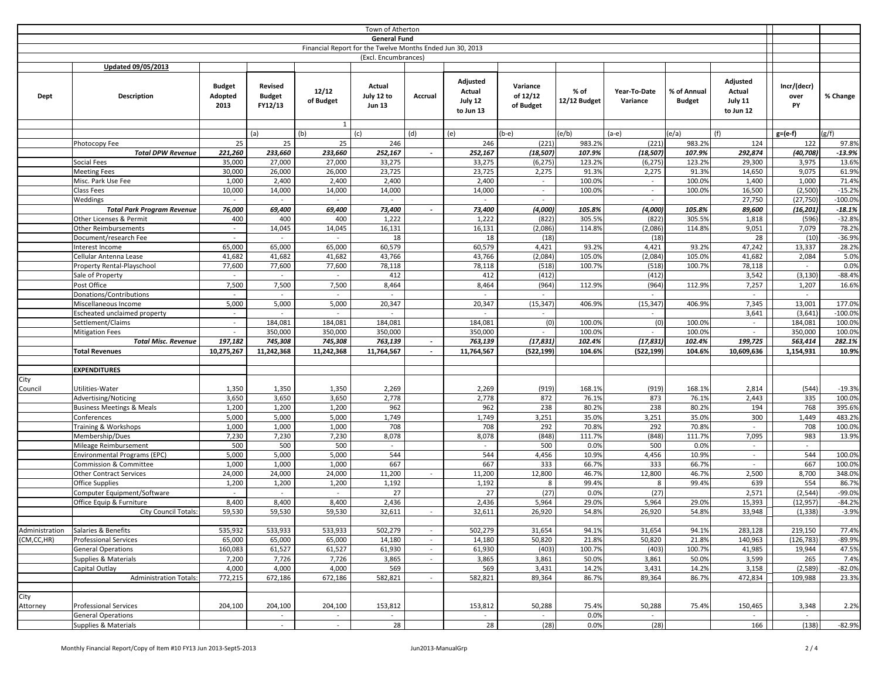| Town of Atherton                                          |                                                     |                                  |                                     |                    |                                       |                          |                                            |                                   |                      |                          |                              |                                            |                           |                   |
|-----------------------------------------------------------|-----------------------------------------------------|----------------------------------|-------------------------------------|--------------------|---------------------------------------|--------------------------|--------------------------------------------|-----------------------------------|----------------------|--------------------------|------------------------------|--------------------------------------------|---------------------------|-------------------|
| <b>General Fund</b>                                       |                                                     |                                  |                                     |                    |                                       |                          |                                            |                                   |                      |                          |                              |                                            |                           |                   |
| Financial Report for the Twelve Months Ended Jun 30, 2013 |                                                     |                                  |                                     |                    |                                       |                          |                                            |                                   |                      |                          |                              |                                            |                           |                   |
| (Excl. Encumbrances)                                      |                                                     |                                  |                                     |                    |                                       |                          |                                            |                                   |                      |                          |                              |                                            |                           |                   |
|                                                           | <b>Updated 09/05/2013</b>                           |                                  |                                     |                    |                                       |                          |                                            |                                   |                      |                          |                              |                                            |                           |                   |
| Dept                                                      | Description                                         | <b>Budget</b><br>Adopted<br>2013 | Revised<br><b>Budget</b><br>FY12/13 | 12/12<br>of Budget | Actual<br>July 12 to<br><b>Jun 13</b> | Accrual                  | Adjusted<br>Actual<br>July 12<br>to Jun 13 | Variance<br>of 12/12<br>of Budget | % of<br>12/12 Budget | Year-To-Date<br>Variance | % of Annual<br><b>Budget</b> | Adjusted<br>Actual<br>July 11<br>to Jun 12 | Incr/(decr)<br>over<br>PY | % Change          |
|                                                           |                                                     |                                  |                                     | $\mathbf{1}$       |                                       |                          |                                            |                                   |                      |                          |                              |                                            |                           |                   |
|                                                           |                                                     |                                  | (a)                                 | (b)                | (c)                                   | (d)                      | (e)                                        | (b-e)                             | (e/b)                | $(a-e)$                  | (e/a)                        | (f)                                        | $g=(e-f)$                 | g/f               |
|                                                           | Photocopy Fee<br><b>Total DPW Revenue</b>           | 25<br>221,260                    | 25<br>233,660                       | 25<br>233,660      | 246<br>252,167                        | $\sim$                   | 246<br>252,167                             | (221)<br>(18, 507)                | 983.2%<br>107.9%     | (221)                    | 983.2%<br>107.9%             | 124<br>292,874                             | 122<br>(40, 708)          | 97.8%<br>$-13.9%$ |
|                                                           | Social Fees                                         | 35,000                           | 27,000                              | 27,000             | 33,275                                |                          | 33,275                                     | (6, 275)                          | 123.2%               | (18, 507)                | 123.2%                       | 29,300                                     | 3,975                     | 13.6%             |
|                                                           | <b>Meeting Fees</b>                                 | 30,000                           | 26,000                              | 26,000             | 23,725                                |                          | 23,725                                     | 2,275                             | 91.3%                | (6, 275)<br>2,275        | 91.3%                        | 14,650                                     | 9,075                     | 61.9%             |
|                                                           | Misc. Park Use Fee                                  | 1,000                            | 2,400                               | 2,400              | 2,400                                 |                          | 2,400                                      | $\sim$                            | 100.0%               | $\sim$                   | 100.0%                       | 1,400                                      | 1,000                     | 71.4%             |
|                                                           | Class Fees                                          | 10,000                           | 14,000                              | 14,000             | 14,000                                |                          | 14,000                                     | $\sim$                            | 100.0%               | $\sim$                   | 100.0%                       | 16,500                                     | (2,500)                   | $-15.2%$          |
|                                                           | Weddings                                            | $\sim$                           | $\sim$                              | $\sim$             | $\sim$                                |                          | $\sim$                                     | $\sim$                            |                      | $\sim$                   |                              | 27,750                                     | (27, 750)                 | $-100.0%$         |
|                                                           | <b>Total Park Program Revenue</b>                   | 76,000                           | 69,400                              | 69,400             | 73,400                                | $\sim$                   | 73,400                                     | (4,000)                           | 105.8%               | (4,000)                  | 105.8%                       | 89,600                                     | (16, 201)                 | $-18.1%$          |
|                                                           | Other Licenses & Permit                             | 400                              | 400                                 | 400                | 1,222                                 |                          | 1,222                                      | (822)                             | 305.5%               | (822)                    | 305.5%                       | 1,818                                      | (596)                     | $-32.8%$          |
|                                                           | <b>Other Reimbursements</b>                         | $\sim$                           | 14,045                              | 14,045             | 16,131                                |                          | 16,131                                     | (2,086)                           | 114.8%               | (2,086)                  | 114.8%                       | 9,051                                      | 7,079                     | 78.2%             |
|                                                           | Document/research Fee                               | $\sim$                           | $\sim$                              | $\sim$             | 18                                    |                          | 18                                         | (18)                              |                      | (18)                     |                              | 28                                         | (10)                      | $-36.9%$          |
|                                                           | Interest Income                                     | 65,000                           | 65,000                              | 65,000             | 60,579                                |                          | 60,579                                     | 4,421                             | 93.2%                | 4,421                    | 93.2%                        | 47,242                                     | 13,337                    | 28.2%             |
|                                                           | Cellular Antenna Lease                              | 41,682                           | 41,682                              | 41,682             | 43,766                                |                          | 43,766                                     | (2,084)                           | 105.0%               | (2,084)                  | 105.0%                       | 41,682                                     | 2,084                     | 5.0%              |
|                                                           | Property Rental-Playschool                          | 77,600                           | 77,600                              | 77,600             | 78,118                                |                          | 78,118                                     | (518)                             | 100.7%               | (518)                    | 100.7%                       | 78,118                                     | $\sim$                    | 0.0%              |
|                                                           | Sale of Property                                    | $\sim$                           | $\sim$                              | $\sim$             | 412                                   |                          | 412                                        | (412)                             |                      | (412)                    |                              | 3,542                                      | (3, 130)                  | $-88.4%$          |
|                                                           | Post Office                                         | 7,500                            | 7,500                               | 7,500              | 8,464                                 |                          | 8,464                                      | (964)                             | 112.9%               | (964)                    | 112.9%                       | 7,257                                      | 1,207                     | 16.6%             |
|                                                           | Donations/Contributions                             | $\sim$                           | $\sim$                              | $\sim$             | $\sim$                                |                          | $\sim$                                     |                                   |                      | $\sim$                   |                              | $\sim$                                     | $\sim$                    |                   |
|                                                           | Miscellaneous Income                                | 5,000                            | 5,000                               | 5,000              | 20,347                                |                          | 20,347                                     | (15, 347)                         | 406.9%               | (15, 347)                | 406.9%                       | 7,345                                      | 13,001                    | 177.0%            |
|                                                           | Escheated unclaimed property                        | $\sim$                           | $\sim$                              | $\sim$             | $\sim$                                |                          | $\sim$                                     | $\sim$                            |                      | $\sim$                   |                              | 3,641                                      | (3, 641)                  | $-100.0%$         |
|                                                           | Settlement/Claims                                   | $\sim$                           | 184,081                             | 184,081            | 184,081                               |                          | 184,081                                    | (0)                               | 100.0%               | (0)                      | 100.0%                       | $\sim$                                     | 184,081                   | 100.0%            |
|                                                           | <b>Mitigation Fees</b>                              | $\sim$                           | 350,000                             | 350,000            | 350,000                               |                          | 350,000                                    | $\sim$                            | 100.0%               | $\sim$                   | 100.0%                       | $\sim$                                     | 350,000                   | 100.0%            |
|                                                           | <b>Total Misc. Revenue</b>                          | 197,182                          | 745,308                             | 745,308            | 763,139                               | $\overline{\phantom{a}}$ | 763,139                                    | (17, 831)                         | 102.4%               | (17, 831)                | 102.4%                       | 199,725                                    | 563,414                   | 282.1%            |
|                                                           | <b>Total Revenues</b>                               | 10,275,267                       | 11,242,368                          | 11,242,368         | 11,764,567                            |                          | 11,764,567                                 | (522, 199)                        | 104.6%               | (522, 199)               | 104.6%                       | 10,609,636                                 | 1,154,931                 | 10.9%             |
|                                                           |                                                     |                                  |                                     |                    |                                       |                          |                                            |                                   |                      |                          |                              |                                            |                           |                   |
|                                                           | <b>EXPENDITURES</b>                                 |                                  |                                     |                    |                                       |                          |                                            |                                   |                      |                          |                              |                                            |                           |                   |
| City                                                      |                                                     |                                  |                                     |                    |                                       |                          |                                            |                                   |                      |                          |                              |                                            |                           |                   |
| Council                                                   | Utilities-Water                                     | 1,350                            | 1,350                               | 1,350              | 2,269                                 |                          | 2,269                                      | (919)                             | 168.1%               | (919)                    | 168.1%                       | 2,814                                      | (544)                     | $-19.3%$          |
|                                                           | Advertising/Noticing                                | 3,650                            | 3,650                               | 3,650              | 2,778                                 |                          | 2,778                                      | 872                               | 76.1%                | 873                      | 76.1%                        | 2,443                                      | 335                       | 100.0%            |
|                                                           | <b>Business Meetings &amp; Meals</b><br>Conferences | 1,200<br>5,000                   | 1,200<br>5,000                      | 1,200<br>5,000     | 962<br>1,749                          |                          | 962<br>1,749                               | 238<br>3,251                      | 80.2%<br>35.0%       | 238<br>3,251             | 80.2%<br>35.0%               | 194<br>300                                 | 768<br>1,449              | 395.6%<br>483.2%  |
|                                                           | Training & Workshops                                | 1,000                            | 1,000                               | 1,000              | 708                                   |                          | 708                                        | 292                               | 70.8%                | 292                      | 70.8%                        | $\sim$                                     | 708                       | 100.0%            |
|                                                           | Membership/Dues                                     | 7,230                            | 7,230                               | 7,230              | 8,078                                 |                          | 8,078                                      | (848)                             | 111.7%               | (848)                    | 111.7%                       | 7,095                                      | 983                       | 13.9%             |
|                                                           | Mileage Reimbursement                               | 500                              | 500                                 | 500                | $\sim$                                |                          | $\sim$                                     | 500                               | 0.0%                 | 500                      | 0.0%                         | $\sim$                                     | $\sim$                    |                   |
|                                                           | Environmental Programs (EPC)                        | 5,000                            | 5,000                               | 5,000              | 544                                   |                          | 544                                        | 4,456                             | 10.9%                | 4,456                    | 10.9%                        | $\sim$                                     | 544                       | 100.0%            |
|                                                           | Commission & Committee                              | 1,000                            | 1,000                               | 1,000              | 667                                   |                          | 667                                        | 333                               | 66.7%                | 333                      | 66.7%                        | $\sim$                                     | 667                       | 100.0%            |
|                                                           | <b>Other Contract Services</b>                      | 24,000                           | 24,000                              | 24,000             | 11,200                                | $\sim$                   | 11,200                                     | 12,800                            | 46.7%                | 12,800                   | 46.7%                        | 2,500                                      | 8,700                     | 348.0%            |
|                                                           | <b>Office Supplies</b>                              | 1,200                            | 1,200                               | 1,200              | 1,192                                 |                          | 1,192                                      | 8                                 | 99.4%                | 8                        | 99.4%                        | 639                                        | 554                       | 86.7%             |
|                                                           | Computer Equipment/Software                         | $\sim$                           | $\sim$                              | $\sim$             | 27                                    |                          | 27                                         | (27)                              | 0.0%                 | (27)                     |                              | 2,571                                      | (2, 544)                  | -99.0%            |
|                                                           | Office Equip & Furniture                            | 8,400                            | 8,400                               | 8,400              | 2,436                                 |                          | 2,436                                      | 5,964                             | 29.0%                | 5,964                    | 29.0%                        | 15,393                                     | (12, 957)                 | $-84.2%$          |
|                                                           | <b>City Council Totals:</b>                         | 59,530                           | 59,530                              | 59,530             | 32,611                                | $\sim$                   | 32,611                                     | 26,920                            | 54.8%                | 26,920                   | 54.8%                        | 33,948                                     | (1, 338)                  | $-3.9%$           |
|                                                           |                                                     |                                  |                                     |                    |                                       |                          |                                            |                                   |                      |                          |                              |                                            |                           |                   |
| Administration                                            | Salaries & Benefits                                 | 535,932                          | 533,933                             | 533,933            | 502,279                               | $\omega$                 | 502,279                                    | 31,654                            | 94.1%                | 31,654                   | 94.1%                        | 283,128                                    | 219,150                   | 77.4%             |
| (CM,CC,HR)                                                | <b>Professional Services</b>                        | 65,000                           | 65,000                              | 65,000             | 14,180                                | $\sim$                   | 14,180                                     | 50,820                            | 21.8%                | 50,820                   | 21.8%                        | 140,963                                    | (126, 783)                | $-89.9%$          |
|                                                           | <b>General Operations</b>                           | 160,083                          | 61,527                              | 61,527             | 61,930                                | $\sim$                   | 61,930                                     | (403)                             | 100.7%               | (403)                    | 100.7%                       | 41,985                                     | 19,944                    | 47.5%             |
|                                                           | Supplies & Materials                                | 7,200                            | 7,726                               | 7,726              | 3,865                                 | $\sim$                   | 3,865                                      | 3,861                             | 50.0%                | 3,861                    | 50.0%                        | 3,599                                      | 265                       | 7.4%              |
|                                                           | Capital Outlay                                      | 4,000                            | 4,000                               | 4,000              | 569                                   |                          | 569                                        | 3,431                             | 14.2%                | 3,431                    | 14.2%                        | 3,158                                      | (2,589)                   | $-82.0%$          |
|                                                           | <b>Administration Totals:</b>                       | 772,215                          | 672,186                             | 672,186            | 582,821                               | $\sim$                   | 582,821                                    | 89,364                            | 86.7%                | 89,364                   | 86.7%                        | 472,834                                    | 109,988                   | 23.3%             |
|                                                           |                                                     |                                  |                                     |                    |                                       |                          |                                            |                                   |                      |                          |                              |                                            |                           |                   |
| City                                                      |                                                     |                                  |                                     |                    |                                       |                          |                                            |                                   |                      |                          |                              |                                            |                           |                   |
| Attorney                                                  | <b>Professional Services</b>                        | 204,100                          | 204,100                             | 204,100            | 153,812                               |                          | 153,812                                    | 50,288                            | 75.4%                | 50,288                   | 75.4%                        | 150,465                                    | 3,348                     | 2.2%              |
|                                                           | <b>General Operations</b><br>Supplies & Materials   |                                  | $\sim$<br>$\omega$                  | $\sim$<br>$\sim$   | $\sim$<br>28                          |                          | $\sim$<br>28                               | $\sim$<br>(28)                    | 0.0%<br>0.0%         | $\sim$<br>(28)           |                              | $\sim$<br>166                              | $\sim$<br>(138)           | $-82.9%$          |
|                                                           |                                                     |                                  |                                     |                    |                                       |                          |                                            |                                   |                      |                          |                              |                                            |                           |                   |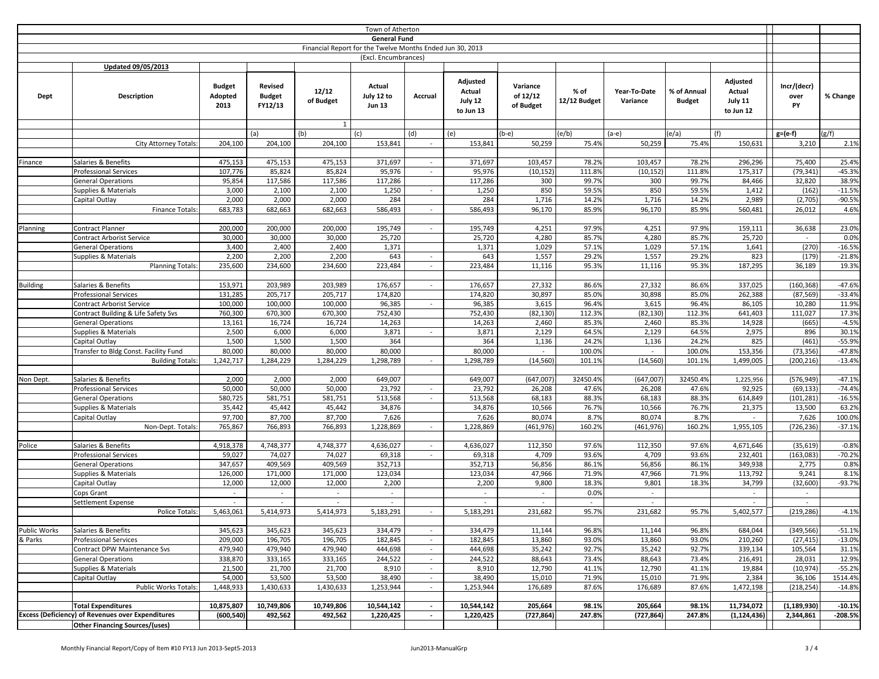| Town of Atherton                                          |                                                              |                                  |                                     |                                    |                                       |                          |                                            |                                   |                      |                          |                              |                                            |                           |                   |
|-----------------------------------------------------------|--------------------------------------------------------------|----------------------------------|-------------------------------------|------------------------------------|---------------------------------------|--------------------------|--------------------------------------------|-----------------------------------|----------------------|--------------------------|------------------------------|--------------------------------------------|---------------------------|-------------------|
| <b>General Fund</b>                                       |                                                              |                                  |                                     |                                    |                                       |                          |                                            |                                   |                      |                          |                              |                                            |                           |                   |
| Financial Report for the Twelve Months Ended Jun 30, 2013 |                                                              |                                  |                                     |                                    |                                       |                          |                                            |                                   |                      |                          |                              |                                            |                           |                   |
|                                                           |                                                              |                                  |                                     |                                    | (Excl. Encumbrances)                  |                          |                                            |                                   |                      |                          |                              |                                            |                           |                   |
|                                                           | <b>Updated 09/05/2013</b>                                    |                                  |                                     |                                    |                                       |                          |                                            |                                   |                      |                          |                              |                                            |                           |                   |
| Dept                                                      | Description                                                  | <b>Budget</b><br>Adopted<br>2013 | Revised<br><b>Budget</b><br>FY12/13 | 12/12<br>of Budget<br>$\mathbf{1}$ | Actual<br>July 12 to<br><b>Jun 13</b> | Accrual                  | Adjusted<br>Actual<br>July 12<br>to Jun 13 | Variance<br>of 12/12<br>of Budget | % of<br>12/12 Budget | Year-To-Date<br>Variance | % of Annual<br><b>Budget</b> | Adjusted<br>Actual<br>July 11<br>to Jun 12 | Incr/(decr)<br>over<br>PY | % Change          |
|                                                           |                                                              |                                  | (a)                                 | (b)                                | (c)                                   | (d)                      | (e)                                        | (b-e)                             | (e/b)                | $(a-e)$                  | (e/a)                        | (f)                                        | $g=(e-f)$                 | (g/f)             |
|                                                           | <b>City Attorney Totals:</b>                                 | 204,100                          | 204,100                             | 204,100                            | 153,841                               | $\sim$                   | 153,841                                    | 50,259                            | 75.4%                | 50,259                   | 75.4%                        | 150,631                                    | 3,210                     | 2.1%              |
|                                                           |                                                              |                                  |                                     |                                    |                                       |                          |                                            |                                   |                      |                          |                              |                                            |                           |                   |
| Finance                                                   | Salaries & Benefits                                          | 475,153                          | 475,153                             | 475,153                            | 371,697                               | $\sim$                   | 371,697                                    | 103,457                           | 78.2%                | 103,457                  | 78.2%                        | 296,296                                    | 75,400                    | 25.4%             |
|                                                           | <b>Professional Services</b>                                 | 107,776                          | 85,824                              | 85,824                             | 95,976                                | $\sim$                   | 95,976                                     | (10, 152)                         | 111.8%               | (10, 152)                | 111.8%                       | 175,317                                    | (79, 341)                 | $-45.3%$          |
|                                                           | <b>General Operations</b>                                    | 95,854                           | 117,586                             | 117,586                            | 117,286                               |                          | 117,286                                    | 300                               | 99.7%                | 300                      | 99.7%                        | 84,466                                     | 32,820                    | 38.9%             |
|                                                           | <b>Supplies &amp; Materials</b>                              | 3,000                            | 2,100                               | 2,100                              | 1,250                                 | $\sim$                   | 1,250                                      | 850                               | 59.5%                | 850                      | 59.5%                        | 1,412                                      | (162)                     | $-11.5%$          |
|                                                           | Capital Outlay                                               | 2,000                            | 2,000                               | 2,000                              | 284                                   |                          | 284                                        | 1,716                             | 14.2%                | 1,716                    | 14.2%                        | 2,989                                      | (2,705)                   | $-90.5%$          |
|                                                           | Finance Totals:                                              | 683,783                          | 682,663                             | 682,663                            | 586,493                               | $\overline{\phantom{a}}$ | 586,493                                    | 96,170                            | 85.9%                | 96,170                   | 85.9%                        | 560,481                                    | 26,012                    | 4.6%              |
|                                                           |                                                              |                                  |                                     |                                    |                                       |                          |                                            |                                   |                      |                          |                              |                                            |                           |                   |
| Planning                                                  | Contract Planner                                             | 200,000                          | 200,000                             | 200,000                            | 195,749                               | $\sim$                   | 195,749                                    | 4,251                             | 97.9%                | 4,251                    | 97.9%                        | 159,111                                    | 36,638                    | 23.0%             |
|                                                           | <b>Contract Arborist Service</b>                             | 30,000                           | 30,000                              | 30,000                             | 25,720                                |                          | 25,720                                     | 4,280                             | 85.7%                | 4,280                    | 85.7%                        | 25,720                                     |                           | 0.0%              |
|                                                           | <b>General Operations</b>                                    | 3,400                            | 2,400                               | 2,400                              | 1,371                                 |                          | 1,371                                      | 1,029                             | 57.1%                | 1,029                    | 57.1%                        | 1,641                                      | (270)                     | $-16.5%$          |
|                                                           | Supplies & Materials                                         | 2,200                            | 2,200                               | 2,200                              | 643                                   | $\overline{\phantom{a}}$ | 643                                        | 1,557                             | 29.2%                | 1,557                    | 29.2%                        | 823                                        | (179)                     | $-21.8%$          |
|                                                           | <b>Planning Totals:</b>                                      | 235,600                          | 234,600                             | 234,600                            | 223,484                               | $\sim$                   | 223,484                                    | 11,116                            | 95.3%                | 11,116                   | 95.3%                        | 187,295                                    | 36,189                    | 19.3%             |
|                                                           |                                                              |                                  |                                     |                                    |                                       |                          |                                            |                                   |                      |                          |                              |                                            |                           |                   |
| <b>Building</b>                                           | Salaries & Benefits                                          | 153,971                          | 203,989                             | 203,989                            | 176,657                               | $\sim$                   | 176,657                                    | 27,332                            | 86.6%                | 27,332                   | 86.6%                        | 337,025                                    | (160, 368)                | $-47.6%$          |
|                                                           | <b>Professional Services</b>                                 | 131,285                          | 205,717                             | 205,717                            | 174,820                               |                          | 174,820                                    | 30,897                            | 85.0%                | 30,898                   | 85.0%                        | 262,388                                    | (87, 569)                 | $-33.4%$          |
|                                                           | <b>Contract Arborist Service</b>                             | 100,000                          | 100,000                             | 100,000                            | 96,385                                | $\sim$                   | 96,385                                     | 3,615                             | 96.4%                | 3,615                    | 96.4%                        | 86,105                                     | 10,280                    | 11.9%             |
|                                                           | Contract Building & Life Safety Svs                          | 760,300                          | 670,300                             | 670,300                            | 752,430                               |                          | 752,430                                    | (82, 130)                         | 112.3%               | (82, 130)                | 112.3%                       | 641,403                                    | 111,027                   | 17.3%             |
|                                                           | <b>General Operations</b>                                    | 13,161                           | 16,724                              | 16,724                             | 14,263                                |                          | 14,263                                     | 2,460                             | 85.3%                | 2,460                    | 85.3%                        | 14,928                                     | (665)                     | $-4.5%$           |
|                                                           | Supplies & Materials                                         | 2,500                            | 6,000                               | 6,000                              | 3,871                                 | $\sim$                   | 3,871                                      | 2,129                             | 64.5%                | 2,129                    | 64.5%                        | 2,975                                      | 896                       | 30.1%             |
|                                                           | Capital Outlay                                               | 1,500                            | 1,500                               | 1,500                              | 364                                   |                          | 364                                        | 1,136                             | 24.2%                | 1,136                    | 24.2%                        | 825                                        | (461)                     | $-55.9%$          |
|                                                           | Transfer to Bldg Const. Facility Fund                        | 80,000                           | 80,000                              | 80,000                             | 80,000                                |                          | 80,000                                     |                                   | 100.0%               |                          | 100.0%                       | 153,356                                    | (73, 356)                 | $-47.8%$          |
|                                                           | <b>Building Totals:</b>                                      | 1,242,717                        | 1,284,229                           | 1,284,229                          | 1,298,789                             | $\sim$                   | 1,298,789                                  | (14, 560)                         | 101.1%               | (14, 560)                | 101.1%                       | 1,499,005                                  | (200, 216)                | $-13.4%$          |
|                                                           |                                                              |                                  |                                     |                                    |                                       |                          |                                            |                                   |                      |                          |                              |                                            |                           |                   |
| Non Dept.                                                 | Salaries & Benefits                                          | 2,000                            | 2,000                               | 2,000                              | 649,007                               |                          | 649,007                                    | (647,007)                         | 32450.4%             | (647,007)                | 32450.4%                     | 1,225,956                                  | (576, 949)                | $-47.1%$          |
|                                                           | <b>Professional Services</b>                                 | 50,000                           | 50,000                              | 50,000                             | 23,792                                | $\sim$                   | 23,792                                     | 26,208                            | 47.6%                | 26,208                   | 47.6%                        | 92,925                                     | (69, 133)                 | $-74.4%$          |
|                                                           | <b>General Operations</b>                                    | 580,725                          | 581,751                             | 581,751                            | 513,568                               | $\omega$                 | 513,568                                    | 68,183                            | 88.3%                | 68,183                   | 88.3%                        | 614,849                                    | (101, 281)                | $-16.5%$          |
|                                                           | Supplies & Materials                                         | 35,442                           | 45,442                              | 45,442                             | 34,876                                |                          | 34,876                                     | 10,566                            | 76.7%                | 10,566                   | 76.7%                        | 21,375                                     | 13,500                    | 63.2%             |
|                                                           | Capital Outlay                                               | 97,700                           | 87,700                              | 87,700                             | 7,626                                 |                          | 7,626                                      | 80,074                            | 8.7%                 | 80,074                   | 8.7%                         |                                            | 7,626                     | 100.0%            |
|                                                           | Non-Dept. Totals:                                            | 765,867                          | 766,893                             | 766,893                            | 1,228,869                             | $\sim$                   | 1,228,869                                  | (461, 976)                        | 160.2%               | (461, 976)               | 160.2%                       | 1,955,105                                  | (726, 236)                | $-37.1%$          |
|                                                           |                                                              |                                  |                                     |                                    |                                       |                          |                                            |                                   |                      |                          |                              |                                            |                           |                   |
| Police                                                    | Salaries & Benefits                                          | 4,918,378                        | 4,748,377                           | 4,748,377                          | 4,636,027                             | $\sim$                   | 4,636,027                                  | 112,350                           | 97.6%                | 112,350                  | 97.6%                        | 4,671,646                                  | (35, 619)                 | $-0.8%$           |
|                                                           | <b>Professional Services</b>                                 | 59,027                           | 74,027                              | 74,027                             | 69,318                                |                          | 69,318                                     | 4,709                             | 93.6%                | 4,709                    | 93.6%                        | 232,401                                    | (163, 083)                | $-70.2%$          |
|                                                           | <b>General Operations</b>                                    | 347,657                          | 409,569                             | 409,569                            | 352,713                               |                          | 352,713                                    | 56,856                            | 86.1%                | 56,856                   | 86.1%                        | 349,938                                    | 2,775                     | 0.8%              |
|                                                           | Supplies & Materials                                         | 126,000                          | 171,000                             | 171,000                            | 123,034                               |                          | 123,034                                    | 47,966                            | 71.9%                | 47,966                   | 71.9%                        | 113,792                                    | 9,241                     | 8.1%              |
|                                                           | Capital Outlay                                               | 12,000                           | 12,000                              | 12,000                             | 2,200                                 |                          | 2,200                                      | 9,800                             | 18.3%                | 9,801                    | 18.3%                        | 34,799                                     | (32, 600)                 | $-93.7%$          |
|                                                           | Cops Grant                                                   | $\sim$                           | $\sim$                              | $\sim$                             | $\sim$                                |                          | $\sim$                                     | $\sim$                            | 0.0%                 | $\sim$                   |                              | $\sim$                                     | $\sim$                    |                   |
|                                                           | Settlement Expense                                           | $\sim$                           | $\sim$                              | $\sim$<br>5,414,973                | $\sim$<br>5,183,291                   |                          | $\sim$<br>5,183,291                        |                                   | $\sim$               | $\blacksquare$           |                              | $\sim$<br>5,402,577                        | $\sim$<br>(219, 286)      |                   |
|                                                           | <b>Police Totals</b>                                         | 5,463,061                        | 5,414,973                           |                                    |                                       | $\sim$                   |                                            | 231,682                           | 95.7%                | 231,682                  | 95.7%                        |                                            |                           | $-4.1%$           |
| Public Works                                              |                                                              | 345,623                          |                                     | 345,623                            | 334,479                               | $\omega$                 | 334,479                                    |                                   | 96.8%                | 11,144                   | 96.8%                        | 684,044                                    |                           |                   |
| & Parks                                                   | Salaries & Benefits                                          |                                  | 345,623                             |                                    |                                       | $\sim$                   | 182,845                                    | 11,144                            | 93.0%                |                          | 93.0%                        |                                            | (349, 566)                | $-51.1%$          |
|                                                           | <b>Professional Services</b><br>Contract DPW Maintenance Svs | 209,000<br>479,940               | 196,705<br>479,940                  | 196,705<br>479,940                 | 182,845<br>444,698                    | $\sim$                   | 444,698                                    | 13,860<br>35,242                  | 92.7%                | 13,860<br>35,242         | 92.7%                        | 210,260<br>339,134                         | (27, 415)<br>105,564      | $-13.0%$<br>31.1% |
|                                                           | <b>General Operations</b>                                    | 338,870                          | 333,165                             | 333,165                            | 244,522                               | $\sim$                   | 244,522                                    | 88,643                            | 73.4%                | 88,643                   | 73.4%                        | 216,491                                    | 28,031                    | 12.9%             |
|                                                           | Supplies & Materials                                         | 21,500                           | 21,700                              | 21,700                             | 8,910                                 | $\sim$                   | 8,910                                      | 12,790                            | 41.1%                | 12,790                   | 41.1%                        | 19,884                                     | (10, 974)                 | $-55.2%$          |
|                                                           | Capital Outlay                                               | 54,000                           | 53,500                              | 53,500                             | 38,490                                | $\sim$                   | 38,490                                     | 15,010                            | 71.9%                | 15,010                   | 71.9%                        | 2,384                                      | 36,106                    | 1514.4%           |
|                                                           | <b>Public Works Totals:</b>                                  | 1,448,933                        | 1,430,633                           | 1,430,633                          | 1,253,944                             |                          | 1,253,944                                  | 176,689                           | 87.6%                | 176,689                  | 87.6%                        | 1,472,198                                  | (218, 254)                | $-14.8%$          |
|                                                           |                                                              |                                  |                                     |                                    |                                       |                          |                                            |                                   |                      |                          |                              |                                            |                           |                   |
|                                                           | <b>Total Expenditures</b>                                    | 10,875,807                       | 10,749,806                          | 10,749,806                         | 10,544,142                            | $\sim$                   | 10,544,142                                 | 205,664                           | 98.1%                | 205,664                  | 98.1%                        | 11,734,072                                 | (1, 189, 930)             | $-10.1%$          |
|                                                           | <b>Excess (Deficiency) of Revenues over Expenditures</b>     | (600, 540)                       | 492,562                             | 492,562                            | 1,220,425                             | $\sim$                   | 1,220,425                                  | (727, 864)                        | 247.8%               | (727, 864)               | 247.8%                       | (1, 124, 436)                              | 2,344,861                 | $-208.5%$         |
|                                                           | <b>Other Financing Sources/(uses)</b>                        |                                  |                                     |                                    |                                       |                          |                                            |                                   |                      |                          |                              |                                            |                           |                   |